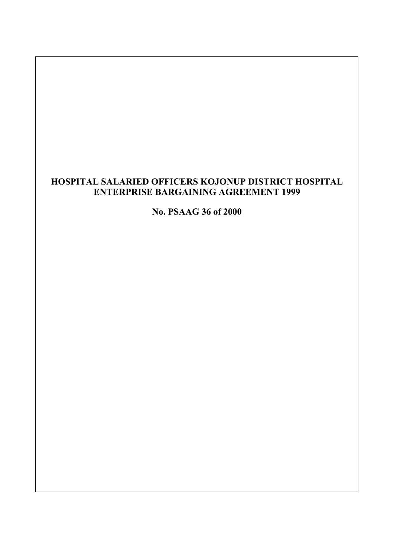# **HOSPITAL SALARIED OFFICERS KOJONUP DISTRICT HOSPITAL ENTERPRISE BARGAINING AGREEMENT 1999**

**No. PSAAG 36 of 2000**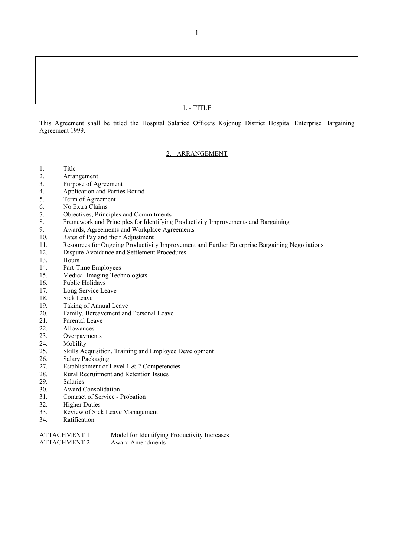## 1. - TITLE

This Agreement shall be titled the Hospital Salaried Officers Kojonup District Hospital Enterprise Bargaining Agreement 1999.

#### 2. - ARRANGEMENT

- 1. Title
- 2. Arrangement
- 3. Purpose of Agreement
- 4. Application and Parties Bound<br>5. Term of Agreement
- Term of Agreement
- 6. No Extra Claims
- 7. Objectives, Principles and Commitments
- 8. Framework and Principles for Identifying Productivity Improvements and Bargaining<br>9. Awards. Agreements and Workplace Agreements
- 9. Awards, Agreements and Workplace Agreements
- 10. Rates of Pay and their Adjustment
- 11. Resources for Ongoing Productivity Improvement and Further Enterprise Bargaining Negotiations
- 12. Dispute Avoidance and Settlement Procedures
- 13. Hours
- 14. Part-Time Employees
- 15. Medical Imaging Technologists
- 16. Public Holidays
- 17. Long Service Leave
- 18. Sick Leave
- 19. Taking of Annual Leave
- 20. Family, Bereavement and Personal Leave
- 21. Parental Leave
- 22. Allowances
- 23. Overpayments
- 24. Mobility
- 25. Skills Acquisition, Training and Employee Development
- 26. Salary Packaging
- 27. Establishment of Level 1 & 2 Competencies
- 28. Rural Recruitment and Retention Issues<br>29. Salaries
- 29. Salaries<br>30. Award C
- Award Consolidation
- 31. Contract of Service Probation
- 32. Higher Duties
- 33. Review of Sick Leave Management
- 34. Ratification

| <b>ATTACHMENT 1</b> | Model for Identifying Productivity Increases |
|---------------------|----------------------------------------------|
| ATTACHMENT 2        | Award Amendments                             |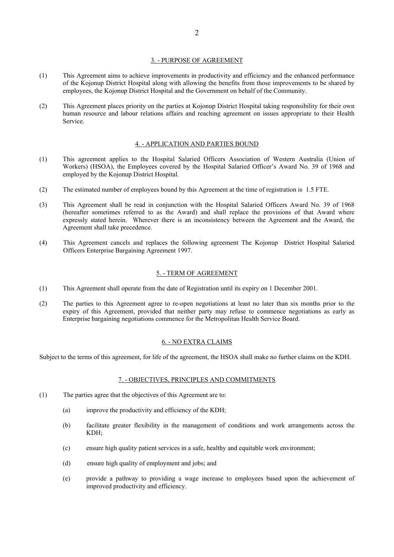## 3. - PURPOSE OF AGREEMENT

- (1) This Agreement aims to achieve improvements in productivity and efficiency and the enhanced performance of the Kojonup District Hospital along with allowing the benefits from those improvements to be shared by employees, the Kojonup District Hospital and the Government on behalf of the Community.
- (2) This Agreement places priority on the parties at Kojonup District Hospital taking responsibility for their own human resource and labour relations affairs and reaching agreement on issues appropriate to their Health Service.

#### 4. - APPLICATION AND PARTIES BOUND

- (1) This agreement applies to the Hospital Salaried Officers Association of Western Australia (Union of Workers) (HSOA), the Employees covered by the Hospital Salaried Officer's Award No. 39 of 1968 and employed by the Kojonup District Hospital.
- (2) The estimated number of employees bound by this Agreement at the time of registration is 1.5 FTE.
- (3) This Agreement shall be read in conjunction with the Hospital Salaried Officers Award No. 39 of 1968 (hereafter sometimes referred to as the Award) and shall replace the provisions of that Award where expressly stated herein. Wherever there is an inconsistency between the Agreement and the Award, the Agreement shall take precedence.
- (4) This Agreement cancels and replaces the following agreement The Kojonup District Hospital Salaried Officers Enterprise Bargaining Agreement 1997.

#### 5. - TERM OF AGREEMENT

- (1) This Agreement shall operate from the date of Registration until its expiry on 1 December 2001.
- (2) The parties to this Agreement agree to re-open negotiations at least no later than six months prior to the expiry of this Agreement, provided that neither party may refuse to commence negotiations as early as Enterprise bargaining negotiations commence for the Metropolitan Health Service Board.

#### 6. - NO EXTRA CLAIMS

Subject to the terms of this agreement, for life of the agreement, the HSOA shall make no further claims on the KDH.

#### 7. - OBJECTIVES, PRINCIPLES AND COMMITMENTS

- (1) The parties agree that the objectives of this Agreement are to:
	- (a) improve the productivity and efficiency of the KDH;
	- (b) facilitate greater flexibility in the management of conditions and work arrangements across the KDH;
	- (c) ensure high quality patient services in a safe, healthy and equitable work environment;
	- (d) ensure high quality of employment and jobs; and
	- (e) provide a pathway to providing a wage increase to employees based upon the achievement of improved productivity and efficiency.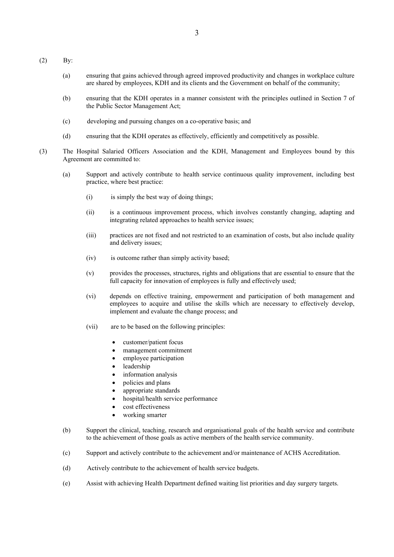- (2) By:
	- (a) ensuring that gains achieved through agreed improved productivity and changes in workplace culture are shared by employees, KDH and its clients and the Government on behalf of the community;
	- (b) ensuring that the KDH operates in a manner consistent with the principles outlined in Section 7 of the Public Sector Management Act;
	- (c) developing and pursuing changes on a co-operative basis; and
	- (d) ensuring that the KDH operates as effectively, efficiently and competitively as possible.
- (3) The Hospital Salaried Officers Association and the KDH, Management and Employees bound by this Agreement are committed to:
	- (a) Support and actively contribute to health service continuous quality improvement, including best practice, where best practice:
		- (i) is simply the best way of doing things;
		- (ii) is a continuous improvement process, which involves constantly changing, adapting and integrating related approaches to health service issues;
		- (iii) practices are not fixed and not restricted to an examination of costs, but also include quality and delivery issues;
		- (iv) is outcome rather than simply activity based;
		- (v) provides the processes, structures, rights and obligations that are essential to ensure that the full capacity for innovation of employees is fully and effectively used;
		- (vi) depends on effective training, empowerment and participation of both management and employees to acquire and utilise the skills which are necessary to effectively develop, implement and evaluate the change process; and
		- (vii) are to be based on the following principles:
			- customer/patient focus
			- management commitment
			- employee participation
			- leadership
			- information analysis
			- policies and plans
			- appropriate standards
			- hospital/health service performance
			- cost effectiveness
			- working smarter
	- (b) Support the clinical, teaching, research and organisational goals of the health service and contribute to the achievement of those goals as active members of the health service community.
	- (c) Support and actively contribute to the achievement and/or maintenance of ACHS Accreditation.
	- (d) Actively contribute to the achievement of health service budgets.
	- (e) Assist with achieving Health Department defined waiting list priorities and day surgery targets.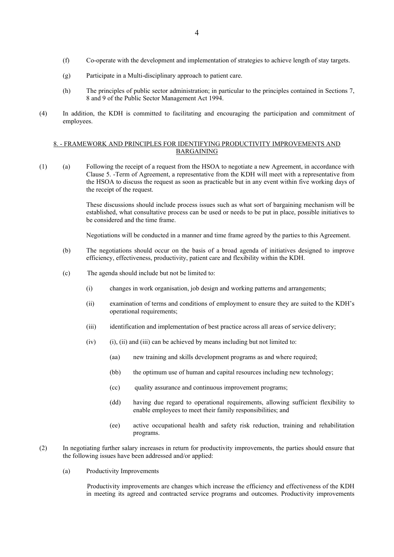- (f) Co-operate with the development and implementation of strategies to achieve length of stay targets.
- (g) Participate in a Multi-disciplinary approach to patient care.
- (h) The principles of public sector administration; in particular to the principles contained in Sections 7, 8 and 9 of the Public Sector Management Act 1994.
- (4) In addition, the KDH is committed to facilitating and encouraging the participation and commitment of employees.

## 8. - FRAMEWORK AND PRINCIPLES FOR IDENTIFYING PRODUCTIVITY IMPROVEMENTS AND BARGAINING

(1) (a) Following the receipt of a request from the HSOA to negotiate a new Agreement, in accordance with Clause 5. -Term of Agreement, a representative from the KDH will meet with a representative from the HSOA to discuss the request as soon as practicable but in any event within five working days of the receipt of the request.

> These discussions should include process issues such as what sort of bargaining mechanism will be established, what consultative process can be used or needs to be put in place, possible initiatives to be considered and the time frame.

Negotiations will be conducted in a manner and time frame agreed by the parties to this Agreement.

- (b) The negotiations should occur on the basis of a broad agenda of initiatives designed to improve efficiency, effectiveness, productivity, patient care and flexibility within the KDH.
- (c) The agenda should include but not be limited to:
	- (i) changes in work organisation, job design and working patterns and arrangements;
	- (ii) examination of terms and conditions of employment to ensure they are suited to the KDH's operational requirements;
	- (iii) identification and implementation of best practice across all areas of service delivery;
	- $(iv)$  (i), (ii) and (iii) can be achieved by means including but not limited to:
		- (aa) new training and skills development programs as and where required;
		- (bb) the optimum use of human and capital resources including new technology;
		- (cc) quality assurance and continuous improvement programs;
		- (dd) having due regard to operational requirements, allowing sufficient flexibility to enable employees to meet their family responsibilities; and
		- (ee) active occupational health and safety risk reduction, training and rehabilitation programs.
- (2) In negotiating further salary increases in return for productivity improvements, the parties should ensure that the following issues have been addressed and/or applied:
	- (a) Productivity Improvements

Productivity improvements are changes which increase the efficiency and effectiveness of the KDH in meeting its agreed and contracted service programs and outcomes. Productivity improvements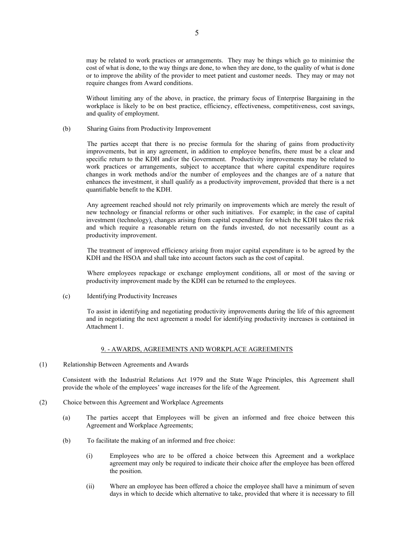may be related to work practices or arrangements. They may be things which go to minimise the cost of what is done, to the way things are done, to when they are done, to the quality of what is done or to improve the ability of the provider to meet patient and customer needs. They may or may not require changes from Award conditions.

Without limiting any of the above, in practice, the primary focus of Enterprise Bargaining in the workplace is likely to be on best practice, efficiency, effectiveness, competitiveness, cost savings, and quality of employment.

(b) Sharing Gains from Productivity Improvement

The parties accept that there is no precise formula for the sharing of gains from productivity improvements, but in any agreement, in addition to employee benefits, there must be a clear and specific return to the KDH and/or the Government. Productivity improvements may be related to work practices or arrangements, subject to acceptance that where capital expenditure requires changes in work methods and/or the number of employees and the changes are of a nature that enhances the investment, it shall qualify as a productivity improvement, provided that there is a net quantifiable benefit to the KDH.

Any agreement reached should not rely primarily on improvements which are merely the result of new technology or financial reforms or other such initiatives. For example; in the case of capital investment (technology), changes arising from capital expenditure for which the KDH takes the risk and which require a reasonable return on the funds invested, do not necessarily count as a productivity improvement.

The treatment of improved efficiency arising from major capital expenditure is to be agreed by the KDH and the HSOA and shall take into account factors such as the cost of capital.

Where employees repackage or exchange employment conditions, all or most of the saving or productivity improvement made by the KDH can be returned to the employees.

(c) Identifying Productivity Increases

To assist in identifying and negotiating productivity improvements during the life of this agreement and in negotiating the next agreement a model for identifying productivity increases is contained in Attachment 1.

#### 9. - AWARDS, AGREEMENTS AND WORKPLACE AGREEMENTS

(1) Relationship Between Agreements and Awards

Consistent with the Industrial Relations Act 1979 and the State Wage Principles, this Agreement shall provide the whole of the employees' wage increases for the life of the Agreement.

- (2) Choice between this Agreement and Workplace Agreements
	- (a) The parties accept that Employees will be given an informed and free choice between this Agreement and Workplace Agreements;
	- (b) To facilitate the making of an informed and free choice:
		- (i) Employees who are to be offered a choice between this Agreement and a workplace agreement may only be required to indicate their choice after the employee has been offered the position.
		- (ii) Where an employee has been offered a choice the employee shall have a minimum of seven days in which to decide which alternative to take, provided that where it is necessary to fill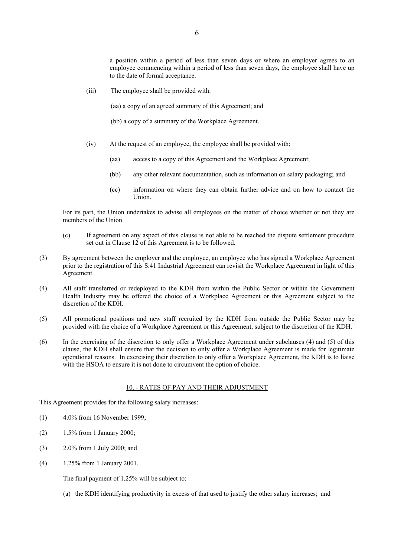a position within a period of less than seven days or where an employer agrees to an employee commencing within a period of less than seven days, the employee shall have up to the date of formal acceptance.

(iii) The employee shall be provided with:

(aa) a copy of an agreed summary of this Agreement; and

(bb) a copy of a summary of the Workplace Agreement.

- (iv) At the request of an employee, the employee shall be provided with;
	- (aa) access to a copy of this Agreement and the Workplace Agreement;
	- (bb) any other relevant documentation, such as information on salary packaging; and
	- (cc) information on where they can obtain further advice and on how to contact the Union.

For its part, the Union undertakes to advise all employees on the matter of choice whether or not they are members of the Union.

- (c) If agreement on any aspect of this clause is not able to be reached the dispute settlement procedure set out in Clause 12 of this Agreement is to be followed.
- (3) By agreement between the employer and the employee, an employee who has signed a Workplace Agreement prior to the registration of this S.41 Industrial Agreement can revisit the Workplace Agreement in light of this Agreement.
- (4) All staff transferred or redeployed to the KDH from within the Public Sector or within the Government Health Industry may be offered the choice of a Workplace Agreement or this Agreement subject to the discretion of the KDH.
- (5) All promotional positions and new staff recruited by the KDH from outside the Public Sector may be provided with the choice of a Workplace Agreement or this Agreement, subject to the discretion of the KDH.
- (6) In the exercising of the discretion to only offer a Workplace Agreement under subclauses (4) and (5) of this clause, the KDH shall ensure that the decision to only offer a Workplace Agreement is made for legitimate operational reasons. In exercising their discretion to only offer a Workplace Agreement, the KDH is to liaise with the HSOA to ensure it is not done to circumvent the option of choice.

## 10. - RATES OF PAY AND THEIR ADJUSTMENT

This Agreement provides for the following salary increases:

- (1) 4.0% from 16 November 1999;
- (2) 1.5% from 1 January 2000;
- (3) 2.0% from 1 July 2000; and
- (4) 1.25% from 1 January 2001.

The final payment of 1.25% will be subject to:

(a) the KDH identifying productivity in excess of that used to justify the other salary increases; and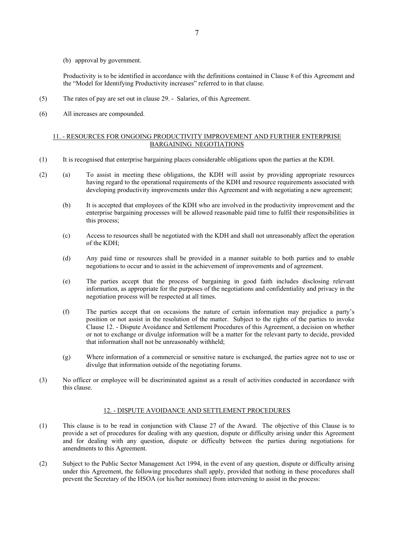(b) approval by government.

Productivity is to be identified in accordance with the definitions contained in Clause 8 of this Agreement and the "Model for Identifying Productivity increases" referred to in that clause.

- (5) The rates of pay are set out in clause 29. Salaries, of this Agreement.
- (6) All increases are compounded.

## 11. - RESOURCES FOR ONGOING PRODUCTIVITY IMPROVEMENT AND FURTHER ENTERPRISE BARGAINING NEGOTIATIONS

- (1) It is recognised that enterprise bargaining places considerable obligations upon the parties at the KDH.
- (2) (a) To assist in meeting these obligations, the KDH will assist by providing appropriate resources having regard to the operational requirements of the KDH and resource requirements associated with developing productivity improvements under this Agreement and with negotiating a new agreement;
	- (b) It is accepted that employees of the KDH who are involved in the productivity improvement and the enterprise bargaining processes will be allowed reasonable paid time to fulfil their responsibilities in this process;
	- (c) Access to resources shall be negotiated with the KDH and shall not unreasonably affect the operation of the KDH;
	- (d) Any paid time or resources shall be provided in a manner suitable to both parties and to enable negotiations to occur and to assist in the achievement of improvements and of agreement.
	- (e) The parties accept that the process of bargaining in good faith includes disclosing relevant information, as appropriate for the purposes of the negotiations and confidentiality and privacy in the negotiation process will be respected at all times.
	- (f) The parties accept that on occasions the nature of certain information may prejudice a party's position or not assist in the resolution of the matter. Subject to the rights of the parties to invoke Clause 12. - Dispute Avoidance and Settlement Procedures of this Agreement, a decision on whether or not to exchange or divulge information will be a matter for the relevant party to decide, provided that information shall not be unreasonably withheld;
	- (g) Where information of a commercial or sensitive nature is exchanged, the parties agree not to use or divulge that information outside of the negotiating forums.
- (3) No officer or employee will be discriminated against as a result of activities conducted in accordance with this clause.

## 12. - DISPUTE AVOIDANCE AND SETTLEMENT PROCEDURES

- (1) This clause is to be read in conjunction with Clause 27 of the Award. The objective of this Clause is to provide a set of procedures for dealing with any question, dispute or difficulty arising under this Agreement and for dealing with any question, dispute or difficulty between the parties during negotiations for amendments to this Agreement.
- (2) Subject to the Public Sector Management Act 1994, in the event of any question, dispute or difficulty arising under this Agreement, the following procedures shall apply, provided that nothing in these procedures shall prevent the Secretary of the HSOA (or his/her nominee) from intervening to assist in the process: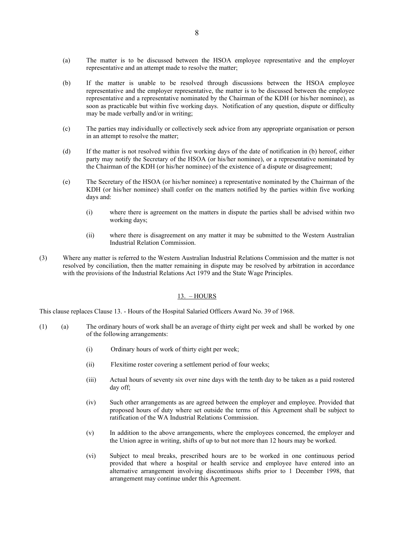- (a) The matter is to be discussed between the HSOA employee representative and the employer representative and an attempt made to resolve the matter;
- (b) If the matter is unable to be resolved through discussions between the HSOA employee representative and the employer representative, the matter is to be discussed between the employee representative and a representative nominated by the Chairman of the KDH (or his/her nominee), as soon as practicable but within five working days. Notification of any question, dispute or difficulty may be made verbally and/or in writing;
- (c) The parties may individually or collectively seek advice from any appropriate organisation or person in an attempt to resolve the matter;
- (d) If the matter is not resolved within five working days of the date of notification in (b) hereof, either party may notify the Secretary of the HSOA (or his/her nominee), or a representative nominated by the Chairman of the KDH (or his/her nominee) of the existence of a dispute or disagreement;
- (e) The Secretary of the HSOA (or his/her nominee) a representative nominated by the Chairman of the KDH (or his/her nominee) shall confer on the matters notified by the parties within five working days and:
	- (i) where there is agreement on the matters in dispute the parties shall be advised within two working days;
	- (ii) where there is disagreement on any matter it may be submitted to the Western Australian Industrial Relation Commission.
- (3) Where any matter is referred to the Western Australian Industrial Relations Commission and the matter is not resolved by conciliation, then the matter remaining in dispute may be resolved by arbitration in accordance with the provisions of the Industrial Relations Act 1979 and the State Wage Principles.

## $13. - HOURS$

This clause replaces Clause 13. - Hours of the Hospital Salaried Officers Award No. 39 of 1968.

- (1) (a) The ordinary hours of work shall be an average of thirty eight per week and shall be worked by one of the following arrangements:
	- (i) Ordinary hours of work of thirty eight per week;
	- (ii) Flexitime roster covering a settlement period of four weeks;
	- (iii) Actual hours of seventy six over nine days with the tenth day to be taken as a paid rostered day off;
	- (iv) Such other arrangements as are agreed between the employer and employee. Provided that proposed hours of duty where set outside the terms of this Agreement shall be subject to ratification of the WA Industrial Relations Commission.
	- (v) In addition to the above arrangements, where the employees concerned, the employer and the Union agree in writing, shifts of up to but not more than 12 hours may be worked.
	- (vi) Subject to meal breaks, prescribed hours are to be worked in one continuous period provided that where a hospital or health service and employee have entered into an alternative arrangement involving discontinuous shifts prior to 1 December 1998, that arrangement may continue under this Agreement.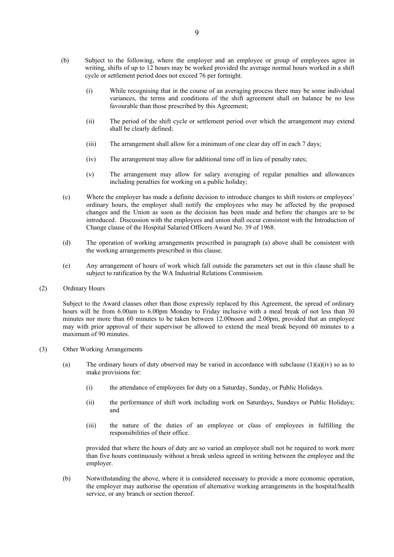- (b) Subject to the following, where the employer and an employee or group of employees agree in writing, shifts of up to 12 hours may be worked provided the average normal hours worked in a shift cycle or settlement period does not exceed 76 per fortnight.
	- (i) While recognising that in the course of an averaging process there may be some individual variances, the terms and conditions of the shift agreement shall on balance be no less favourable than those prescribed by this Agreement;
	- (ii) The period of the shift cycle or settlement period over which the arrangement may extend shall be clearly defined;
	- (iii) The arrangement shall allow for a minimum of one clear day off in each 7 days;
	- (iv) The arrangement may allow for additional time off in lieu of penalty rates;
	- (v) The arrangement may allow for salary averaging of regular penalties and allowances including penalties for working on a public holiday;
- (c) Where the employer has made a definite decision to introduce changes to shift rosters or employees' ordinary hours, the employer shall notify the employees who may be affected by the proposed changes and the Union as soon as the decision has been made and before the changes are to be introduced. Discussion with the employees and union shall occur consistent with the Introduction of Change clause of the Hospital Salaried Officers Award No. 39 of 1968.
- (d) The operation of working arrangements prescribed in paragraph (a) above shall be consistent with the working arrangements prescribed in this clause.
- (e) Any arrangement of hours of work which fall outside the parameters set out in this clause shall be subject to ratification by the WA Industrial Relations Commission.
- (2) Ordinary Hours

Subject to the Award clauses other than those expressly replaced by this Agreement, the spread of ordinary hours will be from 6.00am to 6.00pm Monday to Friday inclusive with a meal break of not less than 30 minutes nor more than 60 minutes to be taken between 12.00noon and 2.00pm, provided that an employee may with prior approval of their supervisor be allowed to extend the meal break beyond 60 minutes to a maximum of 90 minutes.

- (3) Other Working Arrangements
	- (a) The ordinary hours of duty observed may be varied in accordance with subclause  $(1)(a)(iv)$  so as to make provisions for:
		- (i) the attendance of employees for duty on a Saturday, Sunday, or Public Holidays.
		- (ii) the performance of shift work including work on Saturdays, Sundays or Public Holidays; and
		- (iii) the nature of the duties of an employee or class of employees in fulfilling the responsibilities of their office.

provided that where the hours of duty are so varied an employee shall not be required to work more than five hours continuously without a break unless agreed in writing between the employee and the employer.

(b) Notwithstanding the above, where it is considered necessary to provide a more economic operation, the employer may authorise the operation of alternative working arrangements in the hospital/health service, or any branch or section thereof.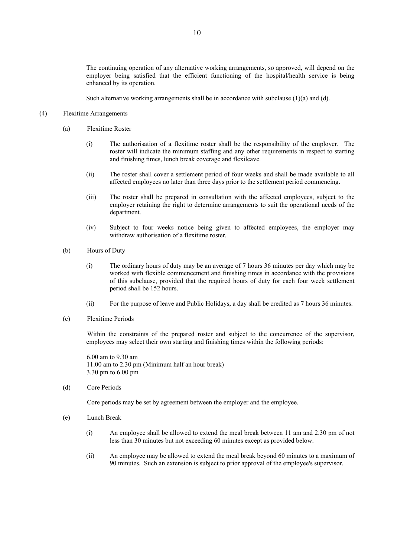The continuing operation of any alternative working arrangements, so approved, will depend on the employer being satisfied that the efficient functioning of the hospital/health service is being enhanced by its operation.

Such alternative working arrangements shall be in accordance with subclause (1)(a) and (d).

## (4) Flexitime Arrangements

- (a) Flexitime Roster
	- (i) The authorisation of a flexitime roster shall be the responsibility of the employer. The roster will indicate the minimum staffing and any other requirements in respect to starting and finishing times, lunch break coverage and flexileave.
	- (ii) The roster shall cover a settlement period of four weeks and shall be made available to all affected employees no later than three days prior to the settlement period commencing.
	- (iii) The roster shall be prepared in consultation with the affected employees, subject to the employer retaining the right to determine arrangements to suit the operational needs of the department.
	- (iv) Subject to four weeks notice being given to affected employees, the employer may withdraw authorisation of a flexitime roster.
- (b) Hours of Duty
	- (i) The ordinary hours of duty may be an average of 7 hours 36 minutes per day which may be worked with flexible commencement and finishing times in accordance with the provisions of this subclause, provided that the required hours of duty for each four week settlement period shall be 152 hours.
	- (ii) For the purpose of leave and Public Holidays, a day shall be credited as 7 hours 36 minutes.
- (c) Flexitime Periods

Within the constraints of the prepared roster and subject to the concurrence of the supervisor, employees may select their own starting and finishing times within the following periods:

6.00 am to 9.30 am 11.00 am to 2.30 pm (Minimum half an hour break) 3.30 pm to 6.00 pm

(d) Core Periods

Core periods may be set by agreement between the employer and the employee.

- (e) Lunch Break
	- (i) An employee shall be allowed to extend the meal break between 11 am and 2.30 pm of not less than 30 minutes but not exceeding 60 minutes except as provided below.
	- (ii) An employee may be allowed to extend the meal break beyond 60 minutes to a maximum of 90 minutes. Such an extension is subject to prior approval of the employee's supervisor.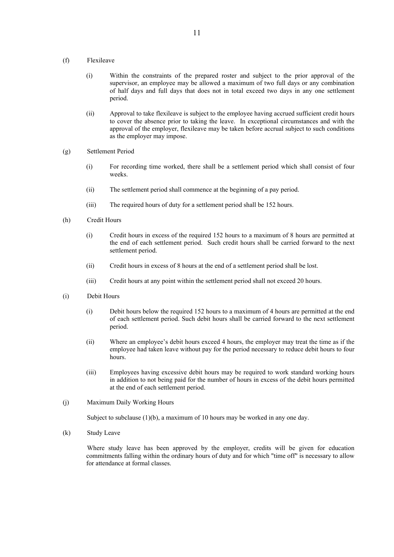#### (f) Flexileave

- (i) Within the constraints of the prepared roster and subject to the prior approval of the supervisor, an employee may be allowed a maximum of two full days or any combination of half days and full days that does not in total exceed two days in any one settlement period.
- (ii) Approval to take flexileave is subject to the employee having accrued sufficient credit hours to cover the absence prior to taking the leave. In exceptional circumstances and with the approval of the employer, flexileave may be taken before accrual subject to such conditions as the employer may impose.
- (g) Settlement Period
	- (i) For recording time worked, there shall be a settlement period which shall consist of four weeks.
	- (ii) The settlement period shall commence at the beginning of a pay period.
	- (iii) The required hours of duty for a settlement period shall be 152 hours.
- (h) Credit Hours
	- (i) Credit hours in excess of the required 152 hours to a maximum of 8 hours are permitted at the end of each settlement period. Such credit hours shall be carried forward to the next settlement period.
	- (ii) Credit hours in excess of 8 hours at the end of a settlement period shall be lost.
	- (iii) Credit hours at any point within the settlement period shall not exceed 20 hours.
- (i) Debit Hours
	- (i) Debit hours below the required 152 hours to a maximum of 4 hours are permitted at the end of each settlement period. Such debit hours shall be carried forward to the next settlement period.
	- (ii) Where an employee's debit hours exceed 4 hours, the employer may treat the time as if the employee had taken leave without pay for the period necessary to reduce debit hours to four hours.
	- (iii) Employees having excessive debit hours may be required to work standard working hours in addition to not being paid for the number of hours in excess of the debit hours permitted at the end of each settlement period.
- (j) Maximum Daily Working Hours

Subject to subclause (1)(b), a maximum of 10 hours may be worked in any one day.

(k) Study Leave

Where study leave has been approved by the employer, credits will be given for education commitments falling within the ordinary hours of duty and for which "time off" is necessary to allow for attendance at formal classes.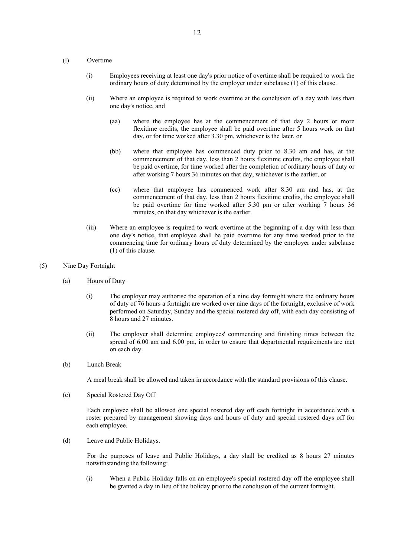#### (l) Overtime

- (i) Employees receiving at least one day's prior notice of overtime shall be required to work the ordinary hours of duty determined by the employer under subclause (1) of this clause.
- (ii) Where an employee is required to work overtime at the conclusion of a day with less than one day's notice, and
	- (aa) where the employee has at the commencement of that day 2 hours or more flexitime credits, the employee shall be paid overtime after 5 hours work on that day, or for time worked after 3.30 pm, whichever is the later, or
	- (bb) where that employee has commenced duty prior to 8.30 am and has, at the commencement of that day, less than 2 hours flexitime credits, the employee shall be paid overtime, for time worked after the completion of ordinary hours of duty or after working 7 hours 36 minutes on that day, whichever is the earlier, or
	- (cc) where that employee has commenced work after 8.30 am and has, at the commencement of that day, less than 2 hours flexitime credits, the employee shall be paid overtime for time worked after 5.30 pm or after working 7 hours 36 minutes, on that day whichever is the earlier.
- (iii) Where an employee is required to work overtime at the beginning of a day with less than one day's notice, that employee shall be paid overtime for any time worked prior to the commencing time for ordinary hours of duty determined by the employer under subclause (1) of this clause.

#### (5) Nine Day Fortnight

- (a) Hours of Duty
	- (i) The employer may authorise the operation of a nine day fortnight where the ordinary hours of duty of 76 hours a fortnight are worked over nine days of the fortnight, exclusive of work performed on Saturday, Sunday and the special rostered day off, with each day consisting of 8 hours and 27 minutes.
	- (ii) The employer shall determine employees' commencing and finishing times between the spread of 6.00 am and 6.00 pm, in order to ensure that departmental requirements are met on each day.
- (b) Lunch Break

A meal break shall be allowed and taken in accordance with the standard provisions of this clause.

(c) Special Rostered Day Off

Each employee shall be allowed one special rostered day off each fortnight in accordance with a roster prepared by management showing days and hours of duty and special rostered days off for each employee.

(d) Leave and Public Holidays.

For the purposes of leave and Public Holidays, a day shall be credited as 8 hours 27 minutes notwithstanding the following:

(i) When a Public Holiday falls on an employee's special rostered day off the employee shall be granted a day in lieu of the holiday prior to the conclusion of the current fortnight.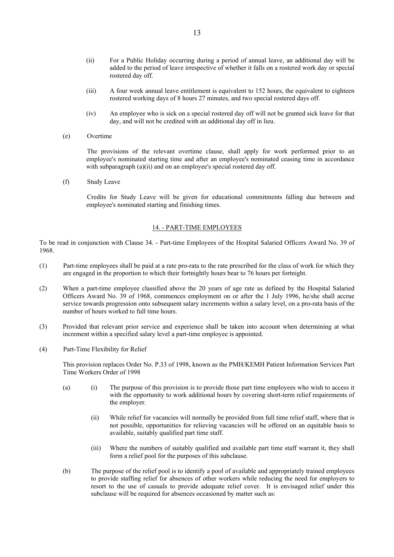- (ii) For a Public Holiday occurring during a period of annual leave, an additional day will be added to the period of leave irrespective of whether it falls on a rostered work day or special rostered day off.
- (iii) A four week annual leave entitlement is equivalent to 152 hours, the equivalent to eighteen rostered working days of 8 hours 27 minutes, and two special rostered days off.
- (iv) An employee who is sick on a special rostered day off will not be granted sick leave for that day, and will not be credited with an additional day off in lieu.
- (e) Overtime

The provisions of the relevant overtime clause, shall apply for work performed prior to an employee's nominated starting time and after an employee's nominated ceasing time in accordance with subparagraph (a)(ii) and on an employee's special rostered day off.

(f) Study Leave

Credits for Study Leave will be given for educational commitments falling due between and employee's nominated starting and finishing times.

## 14. - PART-TIME EMPLOYEES

To be read in conjunction with Clause 34. - Part-time Employees of the Hospital Salaried Officers Award No. 39 of 1968.

- (1) Part-time employees shall be paid at a rate pro-rata to the rate prescribed for the class of work for which they are engaged in the proportion to which their fortnightly hours bear to 76 hours per fortnight.
- (2) When a part-time employee classified above the 20 years of age rate as defined by the Hospital Salaried Officers Award No. 39 of 1968, commences employment on or after the 1 July 1996, he/she shall accrue service towards progression onto subsequent salary increments within a salary level, on a pro-rata basis of the number of hours worked to full time hours.
- (3) Provided that relevant prior service and experience shall be taken into account when determining at what increment within a specified salary level a part-time employee is appointed.
- (4) Part-Time Flexibility for Relief

This provision replaces Order No. P.33 of 1998, known as the PMH/KEMH Patient Information Services Part Time Workers Order of 1998

- (a) (i) The purpose of this provision is to provide those part time employees who wish to access it with the opportunity to work additional hours by covering short-term relief requirements of the employer.
	- (ii) While relief for vacancies will normally be provided from full time relief staff, where that is not possible, opportunities for relieving vacancies will be offered on an equitable basis to available, suitably qualified part time staff.
	- (iii) Where the numbers of suitably qualified and available part time staff warrant it, they shall form a relief pool for the purposes of this subclause.
- (b) The purpose of the relief pool is to identify a pool of available and appropriately trained employees to provide staffing relief for absences of other workers while reducing the need for employers to resort to the use of casuals to provide adequate relief cover. It is envisaged relief under this subclause will be required for absences occasioned by matter such as: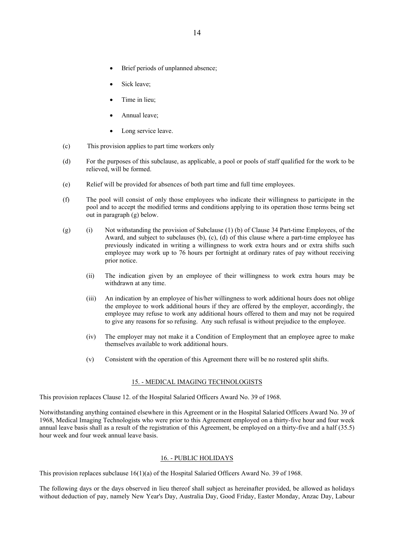- Brief periods of unplanned absence;
- Sick leave;
- Time in lieu;
- Annual leave;
- Long service leave.
- (c) This provision applies to part time workers only
- (d) For the purposes of this subclause, as applicable, a pool or pools of staff qualified for the work to be relieved, will be formed.
- (e) Relief will be provided for absences of both part time and full time employees.
- (f) The pool will consist of only those employees who indicate their willingness to participate in the pool and to accept the modified terms and conditions applying to its operation those terms being set out in paragraph (g) below.
- (g) (i) Not withstanding the provision of Subclause (1) (b) of Clause 34 Part-time Employees, of the Award, and subject to subclauses (b), (c), (d) of this clause where a part-time employee has previously indicated in writing a willingness to work extra hours and or extra shifts such employee may work up to 76 hours per fortnight at ordinary rates of pay without receiving prior notice.
	- (ii) The indication given by an employee of their willingness to work extra hours may be withdrawn at any time.
	- (iii) An indication by an employee of his/her willingness to work additional hours does not oblige the employee to work additional hours if they are offered by the employer, accordingly, the employee may refuse to work any additional hours offered to them and may not be required to give any reasons for so refusing. Any such refusal is without prejudice to the employee.
	- (iv) The employer may not make it a Condition of Employment that an employee agree to make themselves available to work additional hours.
	- (v) Consistent with the operation of this Agreement there will be no rostered split shifts.

## 15. - MEDICAL IMAGING TECHNOLOGISTS

This provision replaces Clause 12. of the Hospital Salaried Officers Award No. 39 of 1968.

Notwithstanding anything contained elsewhere in this Agreement or in the Hospital Salaried Officers Award No. 39 of 1968, Medical Imaging Technologists who were prior to this Agreement employed on a thirty-five hour and four week annual leave basis shall as a result of the registration of this Agreement, be employed on a thirty-five and a half (35.5) hour week and four week annual leave basis.

## 16. - PUBLIC HOLIDAYS

This provision replaces subclause 16(1)(a) of the Hospital Salaried Officers Award No. 39 of 1968.

The following days or the days observed in lieu thereof shall subject as hereinafter provided, be allowed as holidays without deduction of pay, namely New Year's Day, Australia Day, Good Friday, Easter Monday, Anzac Day, Labour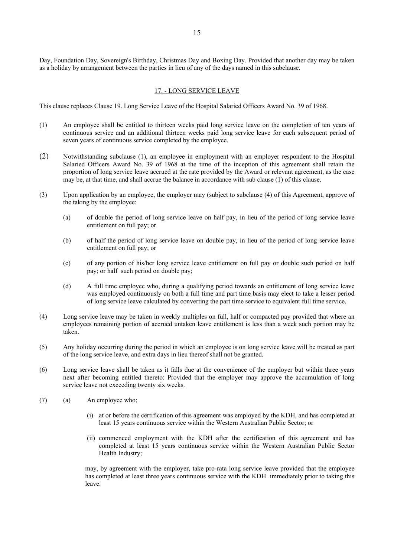Day, Foundation Day, Sovereign's Birthday, Christmas Day and Boxing Day. Provided that another day may be taken as a holiday by arrangement between the parties in lieu of any of the days named in this subclause.

## 17. - LONG SERVICE LEAVE

This clause replaces Clause 19. Long Service Leave of the Hospital Salaried Officers Award No. 39 of 1968.

- (1) An employee shall be entitled to thirteen weeks paid long service leave on the completion of ten years of continuous service and an additional thirteen weeks paid long service leave for each subsequent period of seven years of continuous service completed by the employee.
- (2) Notwithstanding subclause (1), an employee in employment with an employer respondent to the Hospital Salaried Officers Award No. 39 of 1968 at the time of the inception of this agreement shall retain the proportion of long service leave accrued at the rate provided by the Award or relevant agreement, as the case may be, at that time, and shall accrue the balance in accordance with sub clause (1) of this clause.
- (3) Upon application by an employee, the employer may (subject to subclause (4) of this Agreement, approve of the taking by the employee:
	- (a) of double the period of long service leave on half pay, in lieu of the period of long service leave entitlement on full pay; or
	- (b) of half the period of long service leave on double pay, in lieu of the period of long service leave entitlement on full pay; or
	- (c) of any portion of his/her long service leave entitlement on full pay or double such period on half pay; or half such period on double pay;
	- (d) A full time employee who, during a qualifying period towards an entitlement of long service leave was employed continuously on both a full time and part time basis may elect to take a lesser period of long service leave calculated by converting the part time service to equivalent full time service.
- (4) Long service leave may be taken in weekly multiples on full, half or compacted pay provided that where an employees remaining portion of accrued untaken leave entitlement is less than a week such portion may be taken.
- (5) Any holiday occurring during the period in which an employee is on long service leave will be treated as part of the long service leave, and extra days in lieu thereof shall not be granted.
- (6) Long service leave shall be taken as it falls due at the convenience of the employer but within three years next after becoming entitled thereto: Provided that the employer may approve the accumulation of long service leave not exceeding twenty six weeks.
- (7) (a) An employee who;
	- (i) at or before the certification of this agreement was employed by the KDH, and has completed at least 15 years continuous service within the Western Australian Public Sector; or
	- (ii) commenced employment with the KDH after the certification of this agreement and has completed at least 15 years continuous service within the Western Australian Public Sector Health Industry;

may, by agreement with the employer, take pro-rata long service leave provided that the employee has completed at least three years continuous service with the KDH immediately prior to taking this leave.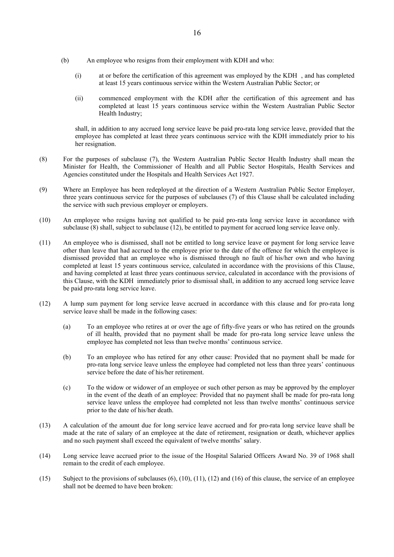- (b) An employee who resigns from their employment with KDH and who:
	- (i) at or before the certification of this agreement was employed by the KDH , and has completed at least 15 years continuous service within the Western Australian Public Sector; or
	- (ii) commenced employment with the KDH after the certification of this agreement and has completed at least 15 years continuous service within the Western Australian Public Sector Health Industry;

shall, in addition to any accrued long service leave be paid pro-rata long service leave, provided that the employee has completed at least three years continuous service with the KDH immediately prior to his her resignation.

- (8) For the purposes of subclause (7), the Western Australian Public Sector Health Industry shall mean the Minister for Health, the Commissioner of Health and all Public Sector Hospitals, Health Services and Agencies constituted under the Hospitals and Health Services Act 1927.
- (9) Where an Employee has been redeployed at the direction of a Western Australian Public Sector Employer, three years continuous service for the purposes of subclauses (7) of this Clause shall be calculated including the service with such previous employer or employers.
- (10) An employee who resigns having not qualified to be paid pro-rata long service leave in accordance with subclause (8) shall, subject to subclause (12), be entitled to payment for accrued long service leave only.
- (11) An employee who is dismissed, shall not be entitled to long service leave or payment for long service leave other than leave that had accrued to the employee prior to the date of the offence for which the employee is dismissed provided that an employee who is dismissed through no fault of his/her own and who having completed at least 15 years continuous service, calculated in accordance with the provisions of this Clause, and having completed at least three years continuous service, calculated in accordance with the provisions of this Clause, with the KDH immediately prior to dismissal shall, in addition to any accrued long service leave be paid pro-rata long service leave.
- (12) A lump sum payment for long service leave accrued in accordance with this clause and for pro-rata long service leave shall be made in the following cases:
	- (a) To an employee who retires at or over the age of fifty-five years or who has retired on the grounds of ill health, provided that no payment shall be made for pro-rata long service leave unless the employee has completed not less than twelve months' continuous service.
	- (b) To an employee who has retired for any other cause: Provided that no payment shall be made for pro-rata long service leave unless the employee had completed not less than three years' continuous service before the date of his/her retirement.
	- (c) To the widow or widower of an employee or such other person as may be approved by the employer in the event of the death of an employee: Provided that no payment shall be made for pro-rata long service leave unless the employee had completed not less than twelve months' continuous service prior to the date of his/her death.
- (13) A calculation of the amount due for long service leave accrued and for pro-rata long service leave shall be made at the rate of salary of an employee at the date of retirement, resignation or death, whichever applies and no such payment shall exceed the equivalent of twelve months' salary.
- (14) Long service leave accrued prior to the issue of the Hospital Salaried Officers Award No. 39 of 1968 shall remain to the credit of each employee.
- (15) Subject to the provisions of subclauses  $(6)$ ,  $(10)$ ,  $(11)$ ,  $(12)$  and  $(16)$  of this clause, the service of an employee shall not be deemed to have been broken: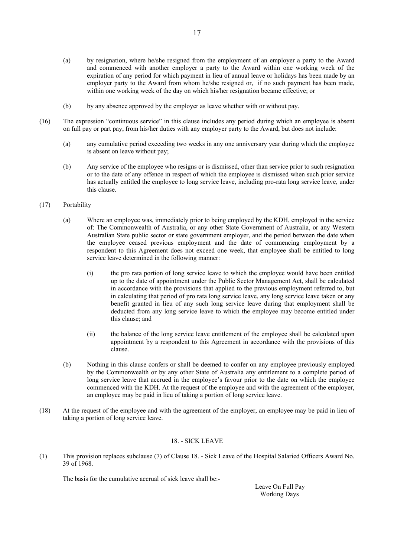- (a) by resignation, where he/she resigned from the employment of an employer a party to the Award and commenced with another employer a party to the Award within one working week of the expiration of any period for which payment in lieu of annual leave or holidays has been made by an employer party to the Award from whom he/she resigned or, if no such payment has been made, within one working week of the day on which his/her resignation became effective; or
- (b) by any absence approved by the employer as leave whether with or without pay.
- (16) The expression "continuous service" in this clause includes any period during which an employee is absent on full pay or part pay, from his/her duties with any employer party to the Award, but does not include:
	- (a) any cumulative period exceeding two weeks in any one anniversary year during which the employee is absent on leave without pay;
	- (b) Any service of the employee who resigns or is dismissed, other than service prior to such resignation or to the date of any offence in respect of which the employee is dismissed when such prior service has actually entitled the employee to long service leave, including pro-rata long service leave, under this clause.

## (17) Portability

- (a) Where an employee was, immediately prior to being employed by the KDH, employed in the service of: The Commonwealth of Australia, or any other State Government of Australia, or any Western Australian State public sector or state government employer, and the period between the date when the employee ceased previous employment and the date of commencing employment by a respondent to this Agreement does not exceed one week, that employee shall be entitled to long service leave determined in the following manner:
	- (i) the pro rata portion of long service leave to which the employee would have been entitled up to the date of appointment under the Public Sector Management Act, shall be calculated in accordance with the provisions that applied to the previous employment referred to, but in calculating that period of pro rata long service leave, any long service leave taken or any benefit granted in lieu of any such long service leave during that employment shall be deducted from any long service leave to which the employee may become entitled under this clause; and
	- (ii) the balance of the long service leave entitlement of the employee shall be calculated upon appointment by a respondent to this Agreement in accordance with the provisions of this clause.
- (b) Nothing in this clause confers or shall be deemed to confer on any employee previously employed by the Commonwealth or by any other State of Australia any entitlement to a complete period of long service leave that accrued in the employee's favour prior to the date on which the employee commenced with the KDH. At the request of the employee and with the agreement of the employer, an employee may be paid in lieu of taking a portion of long service leave.
- (18) At the request of the employee and with the agreement of the employer, an employee may be paid in lieu of taking a portion of long service leave.

# 18. - SICK LEAVE

(1) This provision replaces subclause (7) of Clause 18. - Sick Leave of the Hospital Salaried Officers Award No. 39 of 1968.

The basis for the cumulative accrual of sick leave shall be:-

Leave On Full Pay Working Days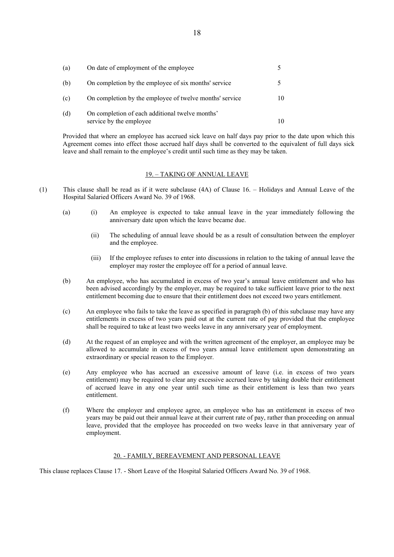| (a) | On date of employment of the employee                                      |  |
|-----|----------------------------------------------------------------------------|--|
| (b) | On completion by the employee of six months' service                       |  |
| (c) | On completion by the employee of twelve months' service                    |  |
| (d) | On completion of each additional twelve months'<br>service by the employee |  |

Provided that where an employee has accrued sick leave on half days pay prior to the date upon which this Agreement comes into effect those accrued half days shall be converted to the equivalent of full days sick leave and shall remain to the employee's credit until such time as they may be taken.

# 19. – TAKING OF ANNUAL LEAVE

- (1) This clause shall be read as if it were subclause (4A) of Clause 16. Holidays and Annual Leave of the Hospital Salaried Officers Award No. 39 of 1968.
	- (a) (i) An employee is expected to take annual leave in the year immediately following the anniversary date upon which the leave became due.
		- (ii) The scheduling of annual leave should be as a result of consultation between the employer and the employee.
		- (iii) If the employee refuses to enter into discussions in relation to the taking of annual leave the employer may roster the employee off for a period of annual leave.
	- (b) An employee, who has accumulated in excess of two year's annual leave entitlement and who has been advised accordingly by the employer, may be required to take sufficient leave prior to the next entitlement becoming due to ensure that their entitlement does not exceed two years entitlement.
	- (c) An employee who fails to take the leave as specified in paragraph (b) of this subclause may have any entitlements in excess of two years paid out at the current rate of pay provided that the employee shall be required to take at least two weeks leave in any anniversary year of employment.
	- (d) At the request of an employee and with the written agreement of the employer, an employee may be allowed to accumulate in excess of two years annual leave entitlement upon demonstrating an extraordinary or special reason to the Employer.
	- (e) Any employee who has accrued an excessive amount of leave (i.e. in excess of two years entitlement) may be required to clear any excessive accrued leave by taking double their entitlement of accrued leave in any one year until such time as their entitlement is less than two years entitlement.
	- (f) Where the employer and employee agree, an employee who has an entitlement in excess of two years may be paid out their annual leave at their current rate of pay, rather than proceeding on annual leave, provided that the employee has proceeded on two weeks leave in that anniversary year of employment.

#### 20. - FAMILY, BEREAVEMENT AND PERSONAL LEAVE

This clause replaces Clause 17. - Short Leave of the Hospital Salaried Officers Award No. 39 of 1968.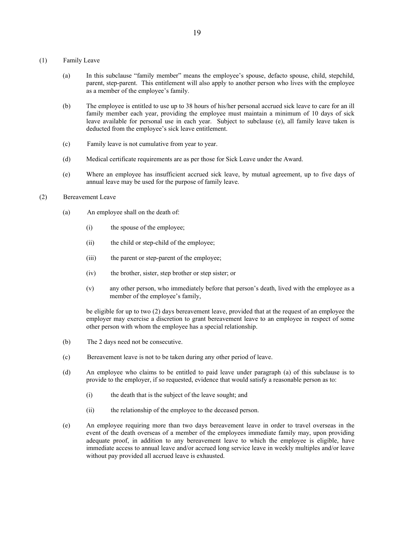- (1) Family Leave
	- (a) In this subclause "family member" means the employee's spouse, defacto spouse, child, stepchild, parent, step-parent. This entitlement will also apply to another person who lives with the employee as a member of the employee's family.
	- (b) The employee is entitled to use up to 38 hours of his/her personal accrued sick leave to care for an ill family member each year, providing the employee must maintain a minimum of 10 days of sick leave available for personal use in each year. Subject to subclause (e), all family leave taken is deducted from the employee's sick leave entitlement.
	- (c) Family leave is not cumulative from year to year.
	- (d) Medical certificate requirements are as per those for Sick Leave under the Award.
	- (e) Where an employee has insufficient accrued sick leave, by mutual agreement, up to five days of annual leave may be used for the purpose of family leave.
- (2) Bereavement Leave
	- (a) An employee shall on the death of:
		- (i) the spouse of the employee;
		- (ii) the child or step-child of the employee;
		- (iii) the parent or step-parent of the employee;
		- (iv) the brother, sister, step brother or step sister; or
		- (v) any other person, who immediately before that person's death, lived with the employee as a member of the employee's family,

be eligible for up to two (2) days bereavement leave, provided that at the request of an employee the employer may exercise a discretion to grant bereavement leave to an employee in respect of some other person with whom the employee has a special relationship.

- (b) The 2 days need not be consecutive.
- (c) Bereavement leave is not to be taken during any other period of leave.
- (d) An employee who claims to be entitled to paid leave under paragraph (a) of this subclause is to provide to the employer, if so requested, evidence that would satisfy a reasonable person as to:
	- (i) the death that is the subject of the leave sought; and
	- (ii) the relationship of the employee to the deceased person.
- (e) An employee requiring more than two days bereavement leave in order to travel overseas in the event of the death overseas of a member of the employees immediate family may, upon providing adequate proof, in addition to any bereavement leave to which the employee is eligible, have immediate access to annual leave and/or accrued long service leave in weekly multiples and/or leave without pay provided all accrued leave is exhausted.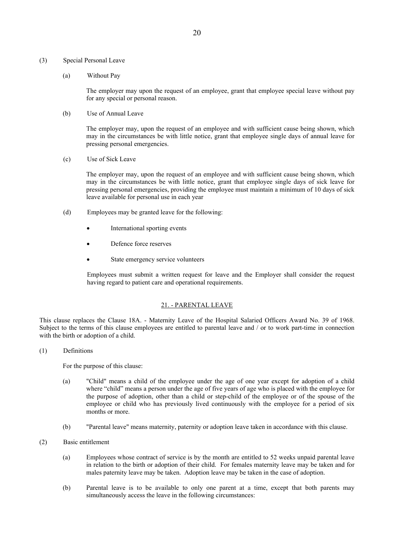#### (3) Special Personal Leave

(a) Without Pay

The employer may upon the request of an employee, grant that employee special leave without pay for any special or personal reason.

(b) Use of Annual Leave

The employer may, upon the request of an employee and with sufficient cause being shown, which may in the circumstances be with little notice, grant that employee single days of annual leave for pressing personal emergencies.

(c) Use of Sick Leave

The employer may, upon the request of an employee and with sufficient cause being shown, which may in the circumstances be with little notice, grant that employee single days of sick leave for pressing personal emergencies, providing the employee must maintain a minimum of 10 days of sick leave available for personal use in each year

- (d) Employees may be granted leave for the following:
	- International sporting events
	- Defence force reserves
	- State emergency service volunteers

Employees must submit a written request for leave and the Employer shall consider the request having regard to patient care and operational requirements.

#### 21. - PARENTAL LEAVE

This clause replaces the Clause 18A. - Maternity Leave of the Hospital Salaried Officers Award No. 39 of 1968. Subject to the terms of this clause employees are entitled to parental leave and / or to work part-time in connection with the birth or adoption of a child.

## (1) Definitions

For the purpose of this clause:

- (a) "Child" means a child of the employee under the age of one year except for adoption of a child where "child" means a person under the age of five years of age who is placed with the employee for the purpose of adoption, other than a child or step-child of the employee or of the spouse of the employee or child who has previously lived continuously with the employee for a period of six months or more.
- (b) "Parental leave" means maternity, paternity or adoption leave taken in accordance with this clause.
- (2) Basic entitlement
	- (a) Employees whose contract of service is by the month are entitled to 52 weeks unpaid parental leave in relation to the birth or adoption of their child. For females maternity leave may be taken and for males paternity leave may be taken. Adoption leave may be taken in the case of adoption.
	- (b) Parental leave is to be available to only one parent at a time, except that both parents may simultaneously access the leave in the following circumstances: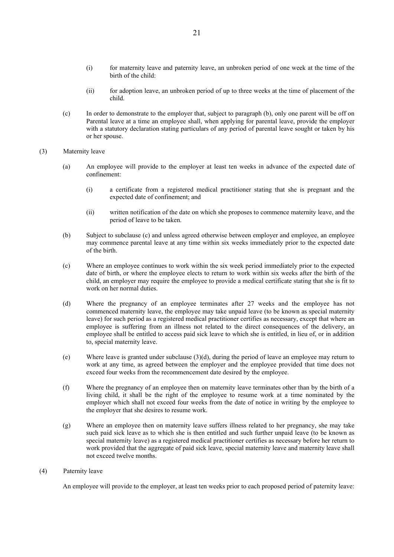- (i) for maternity leave and paternity leave, an unbroken period of one week at the time of the birth of the child:
- (ii) for adoption leave, an unbroken period of up to three weeks at the time of placement of the child.
- (c) In order to demonstrate to the employer that, subject to paragraph (b), only one parent will be off on Parental leave at a time an employee shall, when applying for parental leave, provide the employer with a statutory declaration stating particulars of any period of parental leave sought or taken by his or her spouse.

## (3) Maternity leave

- (a) An employee will provide to the employer at least ten weeks in advance of the expected date of confinement:
	- (i) a certificate from a registered medical practitioner stating that she is pregnant and the expected date of confinement; and
	- (ii) written notification of the date on which she proposes to commence maternity leave, and the period of leave to be taken.
- (b) Subject to subclause (c) and unless agreed otherwise between employer and employee, an employee may commence parental leave at any time within six weeks immediately prior to the expected date of the birth.
- (c) Where an employee continues to work within the six week period immediately prior to the expected date of birth, or where the employee elects to return to work within six weeks after the birth of the child, an employer may require the employee to provide a medical certificate stating that she is fit to work on her normal duties.
- (d) Where the pregnancy of an employee terminates after 27 weeks and the employee has not commenced maternity leave, the employee may take unpaid leave (to be known as special maternity leave) for such period as a registered medical practitioner certifies as necessary, except that where an employee is suffering from an illness not related to the direct consequences of the delivery, an employee shall be entitled to access paid sick leave to which she is entitled, in lieu of, or in addition to, special maternity leave.
- (e) Where leave is granted under subclause (3)(d), during the period of leave an employee may return to work at any time, as agreed between the employer and the employee provided that time does not exceed four weeks from the recommencement date desired by the employee.
- (f) Where the pregnancy of an employee then on maternity leave terminates other than by the birth of a living child, it shall be the right of the employee to resume work at a time nominated by the employer which shall not exceed four weeks from the date of notice in writing by the employee to the employer that she desires to resume work.
- (g) Where an employee then on maternity leave suffers illness related to her pregnancy, she may take such paid sick leave as to which she is then entitled and such further unpaid leave (to be known as special maternity leave) as a registered medical practitioner certifies as necessary before her return to work provided that the aggregate of paid sick leave, special maternity leave and maternity leave shall not exceed twelve months.

#### (4) Paternity leave

An employee will provide to the employer, at least ten weeks prior to each proposed period of paternity leave: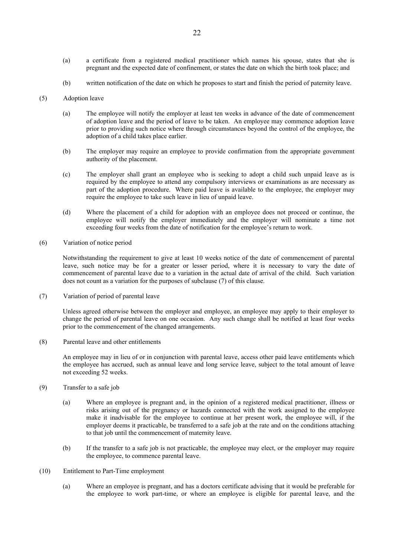- (a) a certificate from a registered medical practitioner which names his spouse, states that she is pregnant and the expected date of confinement, or states the date on which the birth took place; and
- (b) written notification of the date on which he proposes to start and finish the period of paternity leave.

## (5) Adoption leave

- (a) The employee will notify the employer at least ten weeks in advance of the date of commencement of adoption leave and the period of leave to be taken. An employee may commence adoption leave prior to providing such notice where through circumstances beyond the control of the employee, the adoption of a child takes place earlier.
- (b) The employer may require an employee to provide confirmation from the appropriate government authority of the placement.
- (c) The employer shall grant an employee who is seeking to adopt a child such unpaid leave as is required by the employee to attend any compulsory interviews or examinations as are necessary as part of the adoption procedure. Where paid leave is available to the employee, the employer may require the employee to take such leave in lieu of unpaid leave.
- (d) Where the placement of a child for adoption with an employee does not proceed or continue, the employee will notify the employer immediately and the employer will nominate a time not exceeding four weeks from the date of notification for the employee's return to work.
- (6) Variation of notice period

Notwithstanding the requirement to give at least 10 weeks notice of the date of commencement of parental leave, such notice may be for a greater or lesser period, where it is necessary to vary the date of commencement of parental leave due to a variation in the actual date of arrival of the child. Such variation does not count as a variation for the purposes of subclause (7) of this clause.

(7) Variation of period of parental leave

Unless agreed otherwise between the employer and employee, an employee may apply to their employer to change the period of parental leave on one occasion. Any such change shall be notified at least four weeks prior to the commencement of the changed arrangements.

(8) Parental leave and other entitlements

An employee may in lieu of or in conjunction with parental leave, access other paid leave entitlements which the employee has accrued, such as annual leave and long service leave, subject to the total amount of leave not exceeding 52 weeks.

- (9) Transfer to a safe job
	- (a) Where an employee is pregnant and, in the opinion of a registered medical practitioner, illness or risks arising out of the pregnancy or hazards connected with the work assigned to the employee make it inadvisable for the employee to continue at her present work, the employee will, if the employer deems it practicable, be transferred to a safe job at the rate and on the conditions attaching to that job until the commencement of maternity leave.
	- (b) If the transfer to a safe job is not practicable, the employee may elect, or the employer may require the employee, to commence parental leave.
- (10) Entitlement to Part-Time employment
	- (a) Where an employee is pregnant, and has a doctors certificate advising that it would be preferable for the employee to work part-time, or where an employee is eligible for parental leave, and the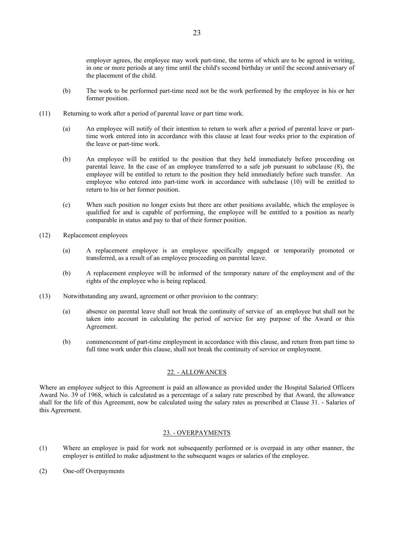employer agrees, the employee may work part-time, the terms of which are to be agreed in writing, in one or more periods at any time until the child's second birthday or until the second anniversary of the placement of the child.

- (b) The work to be performed part-time need not be the work performed by the employee in his or her former position.
- (11) Returning to work after a period of parental leave or part time work.
	- (a) An employee will notify of their intention to return to work after a period of parental leave or parttime work entered into in accordance with this clause at least four weeks prior to the expiration of the leave or part-time work.
	- (b) An employee will be entitled to the position that they held immediately before proceeding on parental leave. In the case of an employee transferred to a safe job pursuant to subclause (8), the employee will be entitled to return to the position they held immediately before such transfer. An employee who entered into part-time work in accordance with subclause (10) will be entitled to return to his or her former position.
	- (c) When such position no longer exists but there are other positions available, which the employee is qualified for and is capable of performing, the employee will be entitled to a position as nearly comparable in status and pay to that of their former position.
- (12) Replacement employees
	- (a) A replacement employee is an employee specifically engaged or temporarily promoted or transferred, as a result of an employee proceeding on parental leave.
	- (b) A replacement employee will be informed of the temporary nature of the employment and of the rights of the employee who is being replaced.
- (13) Notwithstanding any award, agreement or other provision to the contrary:
	- (a) absence on parental leave shall not break the continuity of service of an employee but shall not be taken into account in calculating the period of service for any purpose of the Award or this Agreement.
	- (b) commencement of part-time employment in accordance with this clause, and return from part time to full time work under this clause, shall not break the continuity of service or employment.

#### 22. - ALLOWANCES

Where an employee subject to this Agreement is paid an allowance as provided under the Hospital Salaried Officers Award No. 39 of 1968, which is calculated as a percentage of a salary rate prescribed by that Award, the allowance shall for the life of this Agreement, now be calculated using the salary rates as prescribed at Clause 31. - Salaries of this Agreement.

#### 23. - OVERPAYMENTS

- (1) Where an employee is paid for work not subsequently performed or is overpaid in any other manner, the employer is entitled to make adjustment to the subsequent wages or salaries of the employee.
- (2) One-off Overpayments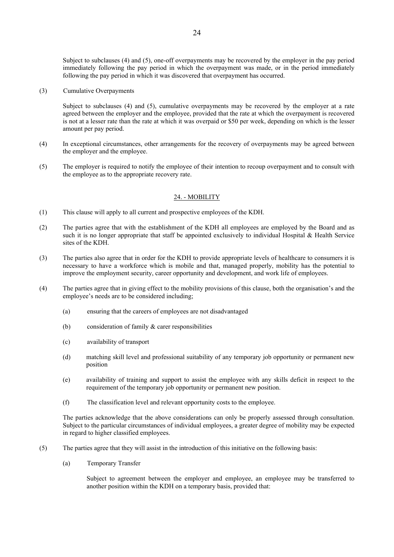Subject to subclauses (4) and (5), one-off overpayments may be recovered by the employer in the pay period immediately following the pay period in which the overpayment was made, or in the period immediately following the pay period in which it was discovered that overpayment has occurred.

## (3) Cumulative Overpayments

Subject to subclauses (4) and (5), cumulative overpayments may be recovered by the employer at a rate agreed between the employer and the employee, provided that the rate at which the overpayment is recovered is not at a lesser rate than the rate at which it was overpaid or \$50 per week, depending on which is the lesser amount per pay period.

- (4) In exceptional circumstances, other arrangements for the recovery of overpayments may be agreed between the employer and the employee.
- (5) The employer is required to notify the employee of their intention to recoup overpayment and to consult with the employee as to the appropriate recovery rate.

## 24. - MOBILITY

- (1) This clause will apply to all current and prospective employees of the KDH.
- (2) The parties agree that with the establishment of the KDH all employees are employed by the Board and as such it is no longer appropriate that staff be appointed exclusively to individual Hospital & Health Service sites of the KDH.
- (3) The parties also agree that in order for the KDH to provide appropriate levels of healthcare to consumers it is necessary to have a workforce which is mobile and that, managed properly, mobility has the potential to improve the employment security, career opportunity and development, and work life of employees.
- (4) The parties agree that in giving effect to the mobility provisions of this clause, both the organisation's and the employee's needs are to be considered including;
	- (a) ensuring that the careers of employees are not disadvantaged
	- (b) consideration of family & carer responsibilities
	- (c) availability of transport
	- (d) matching skill level and professional suitability of any temporary job opportunity or permanent new position
	- (e) availability of training and support to assist the employee with any skills deficit in respect to the requirement of the temporary job opportunity or permanent new position.
	- (f) The classification level and relevant opportunity costs to the employee.

The parties acknowledge that the above considerations can only be properly assessed through consultation. Subject to the particular circumstances of individual employees, a greater degree of mobility may be expected in regard to higher classified employees.

- (5) The parties agree that they will assist in the introduction of this initiative on the following basis:
	- (a) Temporary Transfer

Subject to agreement between the employer and employee, an employee may be transferred to another position within the KDH on a temporary basis, provided that: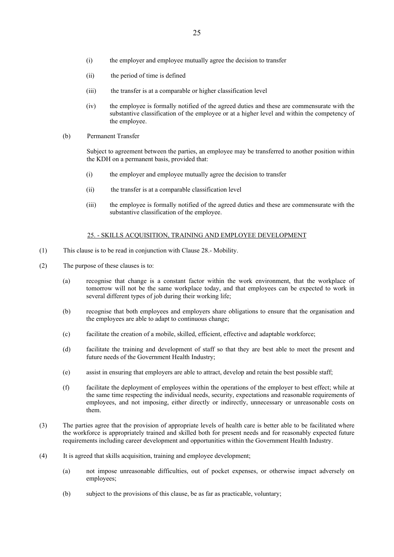- (i) the employer and employee mutually agree the decision to transfer
- (ii) the period of time is defined
- (iii) the transfer is at a comparable or higher classification level
- (iv) the employee is formally notified of the agreed duties and these are commensurate with the substantive classification of the employee or at a higher level and within the competency of the employee.
- (b) Permanent Transfer

Subject to agreement between the parties, an employee may be transferred to another position within the KDH on a permanent basis, provided that:

- (i) the employer and employee mutually agree the decision to transfer
- (ii) the transfer is at a comparable classification level
- (iii) the employee is formally notified of the agreed duties and these are commensurate with the substantive classification of the employee.

## 25. - SKILLS ACQUISITION, TRAINING AND EMPLOYEE DEVELOPMENT

- (1) This clause is to be read in conjunction with Clause 28.- Mobility.
- (2) The purpose of these clauses is to:
	- (a) recognise that change is a constant factor within the work environment, that the workplace of tomorrow will not be the same workplace today, and that employees can be expected to work in several different types of job during their working life;
	- (b) recognise that both employees and employers share obligations to ensure that the organisation and the employees are able to adapt to continuous change;
	- (c) facilitate the creation of a mobile, skilled, efficient, effective and adaptable workforce;
	- (d) facilitate the training and development of staff so that they are best able to meet the present and future needs of the Government Health Industry;
	- (e) assist in ensuring that employers are able to attract, develop and retain the best possible staff;
	- (f) facilitate the deployment of employees within the operations of the employer to best effect; while at the same time respecting the individual needs, security, expectations and reasonable requirements of employees, and not imposing, either directly or indirectly, unnecessary or unreasonable costs on them.
- (3) The parties agree that the provision of appropriate levels of health care is better able to be facilitated where the workforce is appropriately trained and skilled both for present needs and for reasonably expected future requirements including career development and opportunities within the Government Health Industry.
- (4) It is agreed that skills acquisition, training and employee development;
	- (a) not impose unreasonable difficulties, out of pocket expenses, or otherwise impact adversely on employees;
	- (b) subject to the provisions of this clause, be as far as practicable, voluntary;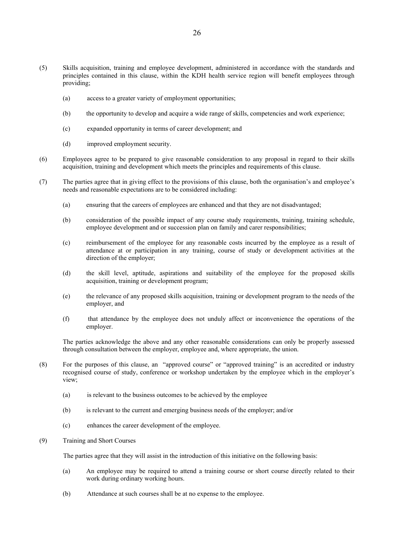- (5) Skills acquisition, training and employee development, administered in accordance with the standards and principles contained in this clause, within the KDH health service region will benefit employees through providing;
	- (a) access to a greater variety of employment opportunities;
	- (b) the opportunity to develop and acquire a wide range of skills, competencies and work experience;
	- (c) expanded opportunity in terms of career development; and
	- (d) improved employment security.
- (6) Employees agree to be prepared to give reasonable consideration to any proposal in regard to their skills acquisition, training and development which meets the principles and requirements of this clause.
- (7) The parties agree that in giving effect to the provisions of this clause, both the organisation's and employee's needs and reasonable expectations are to be considered including:
	- (a) ensuring that the careers of employees are enhanced and that they are not disadvantaged;
	- (b) consideration of the possible impact of any course study requirements, training, training schedule, employee development and or succession plan on family and carer responsibilities;
	- (c) reimbursement of the employee for any reasonable costs incurred by the employee as a result of attendance at or participation in any training, course of study or development activities at the direction of the employer;
	- (d) the skill level, aptitude, aspirations and suitability of the employee for the proposed skills acquisition, training or development program;
	- (e) the relevance of any proposed skills acquisition, training or development program to the needs of the employer, and
	- (f) that attendance by the employee does not unduly affect or inconvenience the operations of the employer.

The parties acknowledge the above and any other reasonable considerations can only be properly assessed through consultation between the employer, employee and, where appropriate, the union.

- (8) For the purposes of this clause, an "approved course" or "approved training" is an accredited or industry recognised course of study, conference or workshop undertaken by the employee which in the employer's view;
	- (a) is relevant to the business outcomes to be achieved by the employee
	- (b) is relevant to the current and emerging business needs of the employer; and/or
	- (c) enhances the career development of the employee.
- (9) Training and Short Courses

The parties agree that they will assist in the introduction of this initiative on the following basis:

- (a) An employee may be required to attend a training course or short course directly related to their work during ordinary working hours.
- (b) Attendance at such courses shall be at no expense to the employee.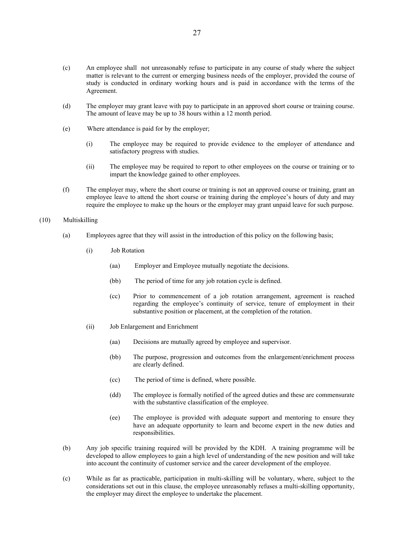- (d) The employer may grant leave with pay to participate in an approved short course or training course. The amount of leave may be up to 38 hours within a 12 month period.
- (e) Where attendance is paid for by the employer;
	- (i) The employee may be required to provide evidence to the employer of attendance and satisfactory progress with studies.
	- (ii) The employee may be required to report to other employees on the course or training or to impart the knowledge gained to other employees.
- (f) The employer may, where the short course or training is not an approved course or training, grant an employee leave to attend the short course or training during the employee's hours of duty and may require the employee to make up the hours or the employer may grant unpaid leave for such purpose.

## (10) Multiskilling

- (a) Employees agree that they will assist in the introduction of this policy on the following basis;
	- (i) Job Rotation
		- (aa) Employer and Employee mutually negotiate the decisions.
		- (bb) The period of time for any job rotation cycle is defined.
		- (cc) Prior to commencement of a job rotation arrangement, agreement is reached regarding the employee's continuity of service, tenure of employment in their substantive position or placement, at the completion of the rotation.
	- (ii) Job Enlargement and Enrichment
		- (aa) Decisions are mutually agreed by employee and supervisor.
		- (bb) The purpose, progression and outcomes from the enlargement/enrichment process are clearly defined.
		- (cc) The period of time is defined, where possible.
		- (dd) The employee is formally notified of the agreed duties and these are commensurate with the substantive classification of the employee.
		- (ee) The employee is provided with adequate support and mentoring to ensure they have an adequate opportunity to learn and become expert in the new duties and responsibilities.
- (b) Any job specific training required will be provided by the KDH. A training programme will be developed to allow employees to gain a high level of understanding of the new position and will take into account the continuity of customer service and the career development of the employee.
- (c) While as far as practicable, participation in multi-skilling will be voluntary, where, subject to the considerations set out in this clause, the employee unreasonably refuses a multi-skilling opportunity, the employer may direct the employee to undertake the placement.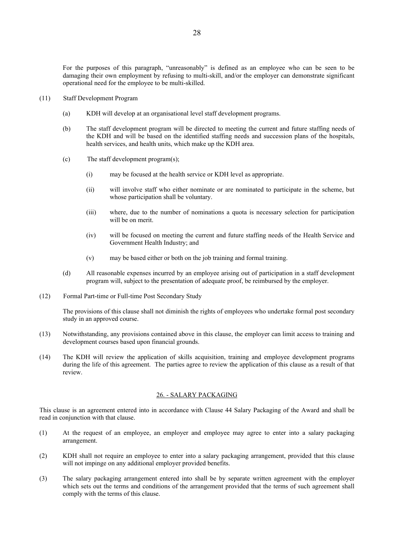For the purposes of this paragraph, "unreasonably" is defined as an employee who can be seen to be damaging their own employment by refusing to multi-skill, and/or the employer can demonstrate significant operational need for the employee to be multi-skilled.

- (11) Staff Development Program
	- (a) KDH will develop at an organisational level staff development programs.
	- (b) The staff development program will be directed to meeting the current and future staffing needs of the KDH and will be based on the identified staffing needs and succession plans of the hospitals, health services, and health units, which make up the KDH area.
	- (c) The staff development program(s);
		- (i) may be focused at the health service or KDH level as appropriate.
		- (ii) will involve staff who either nominate or are nominated to participate in the scheme, but whose participation shall be voluntary.
		- (iii) where, due to the number of nominations a quota is necessary selection for participation will be on merit.
		- (iv) will be focused on meeting the current and future staffing needs of the Health Service and Government Health Industry; and
		- (v) may be based either or both on the job training and formal training.
	- (d) All reasonable expenses incurred by an employee arising out of participation in a staff development program will, subject to the presentation of adequate proof, be reimbursed by the employer.
- (12) Formal Part-time or Full-time Post Secondary Study

The provisions of this clause shall not diminish the rights of employees who undertake formal post secondary study in an approved course.

- (13) Notwithstanding, any provisions contained above in this clause, the employer can limit access to training and development courses based upon financial grounds.
- (14) The KDH will review the application of skills acquisition, training and employee development programs during the life of this agreement. The parties agree to review the application of this clause as a result of that review.

#### 26. - SALARY PACKAGING

This clause is an agreement entered into in accordance with Clause 44 Salary Packaging of the Award and shall be read in conjunction with that clause.

- (1) At the request of an employee, an employer and employee may agree to enter into a salary packaging arrangement.
- (2) KDH shall not require an employee to enter into a salary packaging arrangement, provided that this clause will not impinge on any additional employer provided benefits.
- (3) The salary packaging arrangement entered into shall be by separate written agreement with the employer which sets out the terms and conditions of the arrangement provided that the terms of such agreement shall comply with the terms of this clause.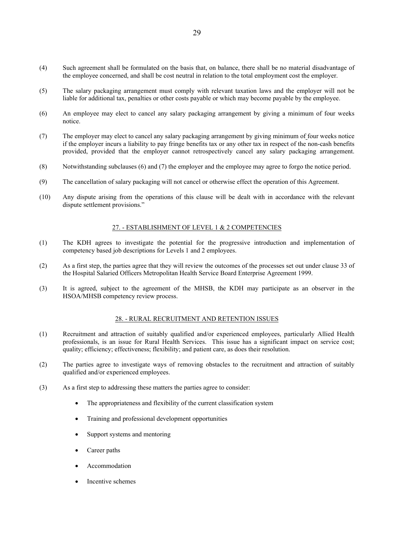- (4) Such agreement shall be formulated on the basis that, on balance, there shall be no material disadvantage of the employee concerned, and shall be cost neutral in relation to the total employment cost the employer.
- (5) The salary packaging arrangement must comply with relevant taxation laws and the employer will not be liable for additional tax, penalties or other costs payable or which may become payable by the employee.
- (6) An employee may elect to cancel any salary packaging arrangement by giving a minimum of four weeks notice.
- (7) The employer may elect to cancel any salary packaging arrangement by giving minimum of four weeks notice if the employer incurs a liability to pay fringe benefits tax or any other tax in respect of the non-cash benefits provided, provided that the employer cannot retrospectively cancel any salary packaging arrangement.
- (8) Notwithstanding subclauses (6) and (7) the employer and the employee may agree to forgo the notice period.
- (9) The cancellation of salary packaging will not cancel or otherwise effect the operation of this Agreement.
- (10) Any dispute arising from the operations of this clause will be dealt with in accordance with the relevant dispute settlement provisions."

#### 27. - ESTABLISHMENT OF LEVEL 1 & 2 COMPETENCIES

- (1) The KDH agrees to investigate the potential for the progressive introduction and implementation of competency based job descriptions for Levels 1 and 2 employees.
- (2) As a first step, the parties agree that they will review the outcomes of the processes set out under clause 33 of the Hospital Salaried Officers Metropolitan Health Service Board Enterprise Agreement 1999.
- (3) It is agreed, subject to the agreement of the MHSB, the KDH may participate as an observer in the HSOA/MHSB competency review process.

# 28. - RURAL RECRUITMENT AND RETENTION ISSUES

- (1) Recruitment and attraction of suitably qualified and/or experienced employees, particularly Allied Health professionals, is an issue for Rural Health Services. This issue has a significant impact on service cost; quality; efficiency; effectiveness; flexibility; and patient care, as does their resolution.
- (2) The parties agree to investigate ways of removing obstacles to the recruitment and attraction of suitably qualified and/or experienced employees.
- (3) As a first step to addressing these matters the parties agree to consider:
	- The appropriateness and flexibility of the current classification system
	- Training and professional development opportunities
	- Support systems and mentoring
	- Career paths
	- Accommodation
	- Incentive schemes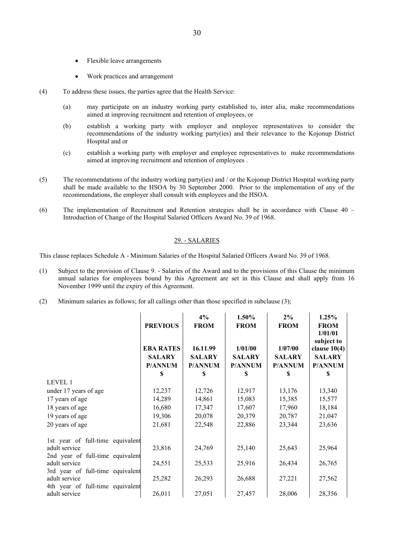- Flexible leave arrangements
- Work practices and arrangement
- (4) To address these issues, the parties agree that the Health Service:
	- (a) may participate on an industry working party established to, inter alia, make recommendations aimed at improving recruitment and retention of employees, or
	- (b) establish a working party with employer and employee representatives to consider the recommendations of the industry working party(ies) and their relevance to the Kojonup District Hospital and or
	- (c) establish a working party with employer and employee representatives to make recommendations aimed at improving recruitment and retention of employees .
- (5) The recommendations of the industry working party(ies) and / or the Kojonup District Hospital working party shall be made available to the HSOA by 30 September 2000. Prior to the implementation of any of the recommendations, the employer shall consult with employees and the HSOA.
- (6) The implementation of Recruitment and Retention strategies shall be in accordance with Clause 40 Introduction of Change of the Hospital Salaried Officers Award No. 39 of 1968.

## 29. - SALARIES

This clause replaces Schedule A - Minimum Salaries of the Hospital Salaried Officers Award No. 39 of 1968.

- (1) Subject to the provision of Clause 9. Salaries of the Award and to the provisions of this Clause the minimum annual salaries for employees bound by this Agreement are set in this Clause and shall apply from 16 November 1999 until the expiry of this Agreement.
- (2) Minimum salaries as follows; for all callings other than those specified in subclause (3);

|                                                                                       | <b>PREVIOUS</b><br><b>EBA RATES</b><br><b>SALARY</b><br><b>P/ANNUM</b><br>S | 4%<br><b>FROM</b><br>16.11.99<br><b>SALARY</b><br><b>P/ANNUM</b><br>S | 1.50%<br><b>FROM</b><br>1/01/00<br><b>SALARY</b><br><b>P/ANNUM</b><br>S | $2\%$<br><b>FROM</b><br>1/07/00<br><b>SALARY</b><br><b>P/ANNUM</b><br>S | 1.25%<br><b>FROM</b><br>1/01/01<br>subject to<br>clause $10(4)$<br><b>SALARY</b><br><b>P/ANNUM</b><br>S |
|---------------------------------------------------------------------------------------|-----------------------------------------------------------------------------|-----------------------------------------------------------------------|-------------------------------------------------------------------------|-------------------------------------------------------------------------|---------------------------------------------------------------------------------------------------------|
| LEVEL 1                                                                               |                                                                             |                                                                       |                                                                         |                                                                         |                                                                                                         |
| under 17 years of age                                                                 | 12,237                                                                      | 12,726                                                                | 12,917                                                                  | 13,176                                                                  | 13,340                                                                                                  |
| 17 years of age                                                                       | 14,289                                                                      | 14,861                                                                | 15,083                                                                  | 15,385                                                                  | 15,577                                                                                                  |
| 18 years of age                                                                       | 16,680                                                                      | 17,347                                                                | 17,607                                                                  | 17,960                                                                  | 18,184                                                                                                  |
| 19 years of age                                                                       | 19,306                                                                      | 20,078                                                                | 20,379                                                                  | 20,787                                                                  | 21,047                                                                                                  |
| 20 years of age                                                                       | 21,681                                                                      | 22,548                                                                | 22,886                                                                  | 23,344                                                                  | 23,636                                                                                                  |
| 1st year of full-time equivalent                                                      |                                                                             |                                                                       |                                                                         |                                                                         |                                                                                                         |
| adult service                                                                         | 23,816                                                                      | 24,769                                                                | 25,140                                                                  | 25,643                                                                  | 25,964                                                                                                  |
| 2nd year of full-time equivalent<br>adult service                                     | 24,551                                                                      | 25,533                                                                | 25,916                                                                  | 26,434                                                                  | 26,765                                                                                                  |
| 3rd year of full-time equivalent<br>adult service<br>4th year of full-time equivalent | 25,282                                                                      | 26,293                                                                | 26,688                                                                  | 27,221                                                                  | 27,562                                                                                                  |
| adult service                                                                         | 26,011                                                                      | 27,051                                                                | 27,457                                                                  | 28,006                                                                  | 28,356                                                                                                  |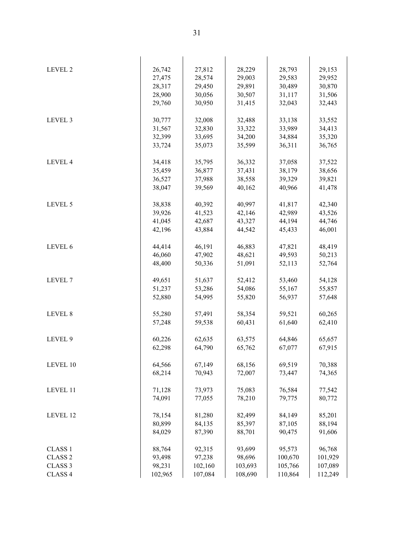| LEVEL 2            | 26,742  | 27,812  | 28,229  | 28,793  | 29,153  |
|--------------------|---------|---------|---------|---------|---------|
|                    | 27,475  | 28,574  | 29,003  | 29,583  | 29,952  |
|                    | 28,317  | 29,450  | 29,891  | 30,489  | 30,870  |
|                    | 28,900  | 30,056  | 30,507  | 31,117  | 31,506  |
|                    | 29,760  | 30,950  | 31,415  | 32,043  | 32,443  |
|                    |         |         |         |         |         |
| LEVEL 3            | 30,777  | 32,008  | 32,488  | 33,138  | 33,552  |
|                    | 31,567  | 32,830  | 33,322  | 33,989  | 34,413  |
|                    | 32,399  | 33,695  | 34,200  | 34,884  | 35,320  |
|                    | 33,724  | 35,073  | 35,599  | 36,311  | 36,765  |
|                    |         |         |         |         |         |
| LEVEL 4            | 34,418  | 35,795  | 36,332  | 37,058  | 37,522  |
|                    | 35,459  | 36,877  | 37,431  | 38,179  | 38,656  |
|                    | 36,527  | 37,988  | 38,558  | 39,329  | 39,821  |
|                    | 38,047  | 39,569  | 40,162  | 40,966  | 41,478  |
|                    |         |         |         |         |         |
| LEVEL 5            | 38,838  | 40,392  | 40,997  | 41,817  | 42,340  |
|                    | 39,926  | 41,523  | 42,146  | 42,989  | 43,526  |
|                    | 41,045  | 42,687  | 43,327  | 44,194  | 44,746  |
|                    | 42,196  | 43,884  | 44,542  | 45,433  | 46,001  |
|                    |         |         |         |         |         |
| LEVEL 6            | 44,414  | 46,191  | 46,883  | 47,821  | 48,419  |
|                    | 46,060  | 47,902  | 48,621  | 49,593  | 50,213  |
|                    | 48,400  | 50,336  | 51,091  | 52,113  | 52,764  |
|                    |         |         |         |         |         |
| LEVEL <sub>7</sub> | 49,651  | 51,637  | 52,412  | 53,460  | 54,128  |
|                    | 51,237  | 53,286  | 54,086  | 55,167  | 55,857  |
|                    | 52,880  | 54,995  | 55,820  | 56,937  | 57,648  |
|                    |         |         |         |         |         |
| LEVEL 8            | 55,280  | 57,491  | 58,354  | 59,521  | 60,265  |
|                    | 57,248  | 59,538  | 60,431  | 61,640  | 62,410  |
| LEVEL 9            | 60,226  | 62,635  | 63,575  | 64,846  | 65,657  |
|                    | 62,298  | 64,790  | 65,762  | 67,077  | 67,915  |
|                    |         |         |         |         |         |
| LEVEL 10           | 64,566  | 67,149  | 68,156  | 69,519  | 70,388  |
|                    | 68,214  | 70,943  | 72,007  | 73,447  | 74,365  |
|                    |         |         |         |         |         |
| LEVEL 11           | 71,128  | 73,973  | 75,083  | 76,584  | 77,542  |
|                    | 74,091  | 77,055  | 78,210  | 79,775  | 80,772  |
|                    |         |         |         |         |         |
| LEVEL 12           | 78,154  | 81,280  | 82,499  | 84,149  | 85,201  |
|                    | 80,899  | 84,135  | 85,397  | 87,105  | 88,194  |
|                    | 84,029  | 87,390  | 88,701  | 90,475  | 91,606  |
|                    |         |         |         |         |         |
| <b>CLASS 1</b>     | 88,764  | 92,315  | 93,699  | 95,573  | 96,768  |
| <b>CLASS 2</b>     | 93,498  | 97,238  | 98,696  | 100,670 | 101,929 |
| CLASS <sub>3</sub> | 98,231  | 102,160 | 103,693 | 105,766 | 107,089 |
| CLASS 4            | 102,965 | 107,084 | 108,690 | 110,864 | 112,249 |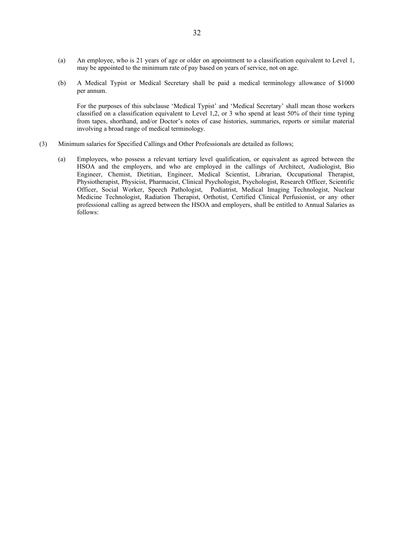- (a) An employee, who is 21 years of age or older on appointment to a classification equivalent to Level 1, may be appointed to the minimum rate of pay based on years of service, not on age.
- (b) A Medical Typist or Medical Secretary shall be paid a medical terminology allowance of \$1000 per annum.

For the purposes of this subclause 'Medical Typist' and 'Medical Secretary' shall mean those workers classified on a classification equivalent to Level 1,2, or 3 who spend at least 50% of their time typing from tapes, shorthand, and/or Doctor's notes of case histories, summaries, reports or similar material involving a broad range of medical terminology.

- (3) Minimum salaries for Specified Callings and Other Professionals are detailed as follows;
	- (a) Employees, who possess a relevant tertiary level qualification, or equivalent as agreed between the HSOA and the employers, and who are employed in the callings of Architect, Audiologist, Bio Engineer, Chemist, Dietitian, Engineer, Medical Scientist, Librarian, Occupational Therapist, Physiotherapist, Physicist, Pharmacist, Clinical Psychologist, Psychologist, Research Officer, Scientific Officer, Social Worker, Speech Pathologist, Podiatrist, Medical Imaging Technologist, Nuclear Medicine Technologist, Radiation Therapist, Orthotist, Certified Clinical Perfusionist, or any other professional calling as agreed between the HSOA and employers, shall be entitled to Annual Salaries as follows: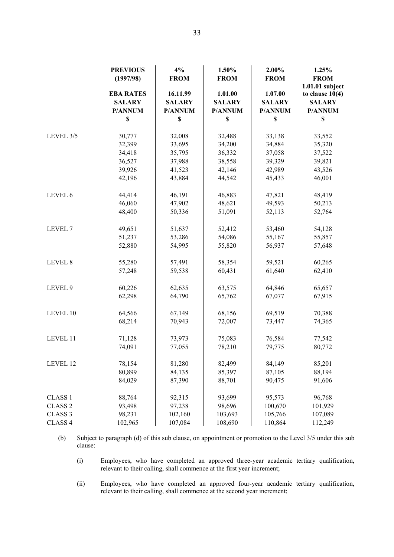|                               | <b>PREVIOUS</b><br>(1997/98) | 4%<br><b>FROM</b> | 1.50%<br><b>FROM</b> | 2.00%<br><b>FROM</b> | 1.25%<br><b>FROM</b>                 |
|-------------------------------|------------------------------|-------------------|----------------------|----------------------|--------------------------------------|
|                               | <b>EBA RATES</b>             | 16.11.99          | 1.01.00              | 1.07.00              | 1.01.01 subject<br>to clause $10(4)$ |
|                               | <b>SALARY</b>                | <b>SALARY</b>     | <b>SALARY</b>        | <b>SALARY</b>        | <b>SALARY</b>                        |
|                               | P/ANNUM                      | P/ANNUM           | P/ANNUM              | P/ANNUM              | P/ANNUM                              |
|                               | \$                           | \$                | \$                   | $\mathbb S$          | $\boldsymbol{\mathsf{S}}$            |
| LEVEL 3/5                     | 30,777                       | 32,008            | 32,488               | 33,138               | 33,552                               |
|                               | 32,399                       | 33,695            | 34,200               | 34,884               | 35,320                               |
|                               | 34,418                       | 35,795            | 36,332               | 37,058               | 37,522                               |
|                               | 36,527                       | 37,988            | 38,558               | 39,329               | 39,821                               |
|                               | 39,926                       | 41,523            | 42,146               | 42,989               | 43,526                               |
|                               | 42,196                       | 43,884            | 44,542               | 45,433               | 46,001                               |
|                               |                              |                   |                      |                      |                                      |
| LEVEL 6                       | 44,414                       | 46,191            | 46,883               | 47,821               | 48,419                               |
|                               | 46,060                       | 47,902            | 48,621               | 49,593               | 50,213                               |
|                               | 48,400                       | 50,336            | 51,091               | 52,113               | 52,764                               |
| LEVEL 7                       | 49,651                       | 51,637            | 52,412               | 53,460               | 54,128                               |
|                               | 51,237                       | 53,286            | 54,086               | 55,167               | 55,857                               |
|                               | 52,880                       | 54,995            | 55,820               | 56,937               | 57,648                               |
| LEVEL 8                       | 55,280                       | 57,491            | 58,354               | 59,521               | 60,265                               |
|                               | 57,248                       | 59,538            | 60,431               | 61,640               | 62,410                               |
| LEVEL 9                       | 60,226                       | 62,635            | 63,575               | 64,846               | 65,657                               |
|                               | 62,298                       | 64,790            | 65,762               | 67,077               | 67,915                               |
|                               |                              |                   |                      |                      |                                      |
| LEVEL 10                      | 64,566                       | 67,149            | 68,156               | 69,519               | 70,388                               |
|                               | 68,214                       | 70,943            | 72,007               | 73,447               | 74,365                               |
| LEVEL 11                      | 71,128                       | 73,973            | 75,083               | 76,584               | 77,542                               |
|                               | 74,091                       | 77,055            | 78,210               | 79,775               | 80,772                               |
| LEVEL 12                      | 78,154                       | 81,280            | 82,499               | 84,149               | 85,201                               |
|                               | 80,899                       | 84,135            | 85,397               | 87,105               | 88,194                               |
|                               | 84,029                       | 87,390            | 88,701               | 90,475               | 91,606                               |
|                               |                              |                   |                      |                      |                                      |
| <b>CLASS 1</b>                | 88,764                       | 92,315            | 93,699               | 95,573               | 96,768                               |
| CLASS <sub>2</sub>            | 93,498                       | 97,238            | 98,696               | 100,670              | 101,929                              |
| CLASS <sub>3</sub><br>CLASS 4 | 98,231                       | 102,160           | 103,693              | 105,766              | 107,089                              |
|                               | 102,965                      | 107,084           | 108,690              | 110,864              | 112,249                              |

(b) Subject to paragraph (d) of this sub clause, on appointment or promotion to the Level 3/5 under this sub clause:

(i) Employees, who have completed an approved three-year academic tertiary qualification, relevant to their calling, shall commence at the first year increment;

(ii) Employees, who have completed an approved four-year academic tertiary qualification, relevant to their calling, shall commence at the second year increment;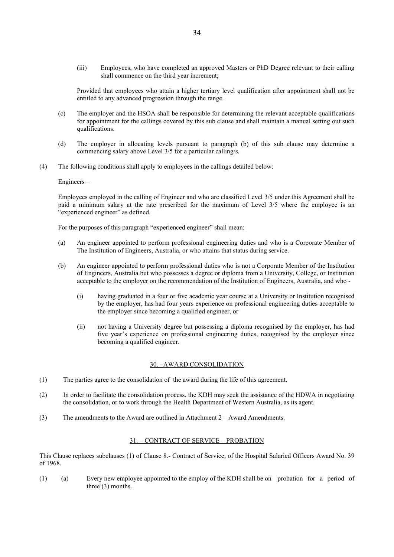(iii) Employees, who have completed an approved Masters or PhD Degree relevant to their calling shall commence on the third year increment;

Provided that employees who attain a higher tertiary level qualification after appointment shall not be entitled to any advanced progression through the range.

- (c) The employer and the HSOA shall be responsible for determining the relevant acceptable qualifications for appointment for the callings covered by this sub clause and shall maintain a manual setting out such qualifications.
- (d) The employer in allocating levels pursuant to paragraph (b) of this sub clause may determine a commencing salary above Level 3/5 for a particular calling/s.
- (4) The following conditions shall apply to employees in the callings detailed below:

Engineers –

Employees employed in the calling of Engineer and who are classified Level 3/5 under this Agreement shall be paid a minimum salary at the rate prescribed for the maximum of Level 3/5 where the employee is an "experienced engineer" as defined.

For the purposes of this paragraph "experienced engineer" shall mean:

- (a) An engineer appointed to perform professional engineering duties and who is a Corporate Member of The Institution of Engineers, Australia, or who attains that status during service.
- (b) An engineer appointed to perform professional duties who is not a Corporate Member of the Institution of Engineers, Australia but who possesses a degree or diploma from a University, College, or Institution acceptable to the employer on the recommendation of the Institution of Engineers, Australia, and who -
	- (i) having graduated in a four or five academic year course at a University or Institution recognised by the employer, has had four years experience on professional engineering duties acceptable to the employer since becoming a qualified engineer, or
	- (ii) not having a University degree but possessing a diploma recognised by the employer, has had five year's experience on professional engineering duties, recognised by the employer since becoming a qualified engineer.

#### 30. –AWARD CONSOLIDATION

- (1) The parties agree to the consolidation of the award during the life of this agreement.
- (2) In order to facilitate the consolidation process, the KDH may seek the assistance of the HDWA in negotiating the consolidation, or to work through the Health Department of Western Australia, as its agent.
- (3) The amendments to the Award are outlined in Attachment 2 Award Amendments.

#### 31. – CONTRACT OF SERVICE – PROBATION

This Clause replaces subclauses (1) of Clause 8.- Contract of Service, of the Hospital Salaried Officers Award No. 39 of 1968.

(1) (a) Every new employee appointed to the employ of the KDH shall be on probation for a period of three (3) months.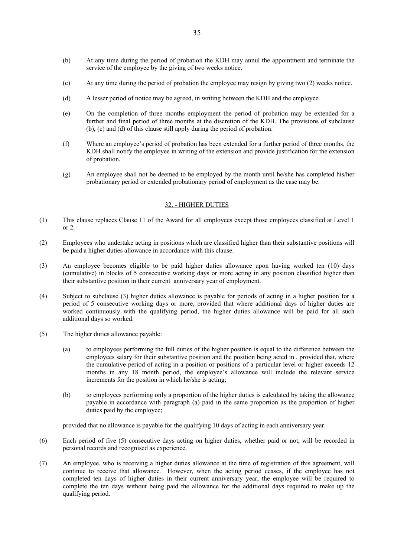- (b) At any time during the period of probation the KDH may annul the appointment and terminate the service of the employee by the giving of two weeks notice.
- (c) At any time during the period of probation the employee may resign by giving two (2) weeks notice.
- (d) A lesser period of notice may be agreed, in writing between the KDH and the employee.
- (e) On the completion of three months employment the period of probation may be extended for a further and final period of three months at the discretion of the KDH. The provisions of subclause (b), (c) and (d) of this clause still apply during the period of probation.
- (f) Where an employee's period of probation has been extended for a further period of three months, the KDH shall notify the employee in writing of the extension and provide justification for the extension of probation.
- (g) An employee shall not be deemed to be employed by the month until he/she has completed his/her probationary period or extended probationary period of employment as the case may be.

## 32. - HIGHER DUTIES

- (1) This clause replaces Clause 11 of the Award for all employees except those employees classified at Level 1 or 2.
- (2) Employees who undertake acting in positions which are classified higher than their substantive positions will be paid a higher duties allowance in accordance with this clause.
- (3) An employee becomes eligible to be paid higher duties allowance upon having worked ten (10) days (cumulative) in blocks of 5 consecutive working days or more acting in any position classified higher than their substantive position in their current anniversary year of employment.
- (4) Subject to subclause (3) higher duties allowance is payable for periods of acting in a higher position for a period of 5 consecutive working days or more, provided that where additional days of higher duties are worked continuously with the qualifying period, the higher duties allowance will be paid for all such additional days so worked.
- (5) The higher duties allowance payable:
	- (a) to employees performing the full duties of the higher position is equal to the difference between the employees salary for their substantive position and the position being acted in , provided that, where the cumulative period of acting in a position or positions of a particular level or higher exceeds 12 months in any 18 month period, the employee's allowance will include the relevant service increments for the position in which he/she is acting;
	- (b) to employees performing only a proportion of the higher duties is calculated by taking the allowance payable in accordance with paragraph (a) paid in the same proportion as the proportion of higher duties paid by the employee;

provided that no allowance is payable for the qualifying 10 days of acting in each anniversary year.

- (6) Each period of five (5) consecutive days acting on higher duties, whether paid or not, will be recorded in personal records and recognised as experience.
- (7) An employee, who is receiving a higher duties allowance at the time of registration of this agreement, will continue to receive that allowance. However, when the acting period ceases, if the employee has not completed ten days of higher duties in their current anniversary year, the employee will be required to complete the ten days without being paid the allowance for the additional days required to make up the qualifying period.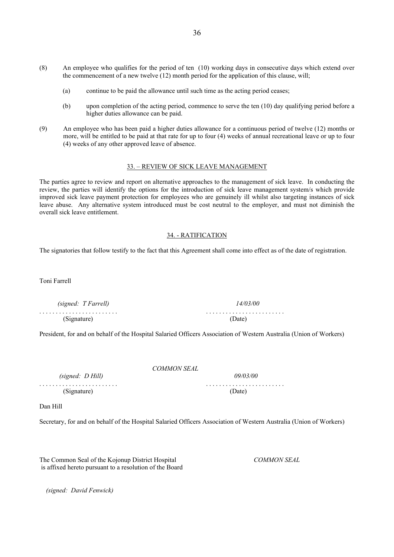- (8) An employee who qualifies for the period of ten (10) working days in consecutive days which extend over the commencement of a new twelve (12) month period for the application of this clause, will;
	- (a) continue to be paid the allowance until such time as the acting period ceases;
	- (b) upon completion of the acting period, commence to serve the ten (10) day qualifying period before a higher duties allowance can be paid.
- (9) An employee who has been paid a higher duties allowance for a continuous period of twelve (12) months or more, will be entitled to be paid at that rate for up to four (4) weeks of annual recreational leave or up to four (4) weeks of any other approved leave of absence.

#### 33. – REVIEW OF SICK LEAVE MANAGEMENT

The parties agree to review and report on alternative approaches to the management of sick leave. In conducting the review, the parties will identify the options for the introduction of sick leave management system/s which provide improved sick leave payment protection for employees who are genuinely ill whilst also targeting instances of sick leave abuse. Any alternative system introduced must be cost neutral to the employer, and must not diminish the overall sick leave entitlement.

#### 34. - RATIFICATION

The signatories that follow testify to the fact that this Agreement shall come into effect as of the date of registration.

Toni Farrell

 *(signed: T Farrell) 14/03/00* . . . . . . . . . . . . . . . . . . . . . . . . . . . . . . . . . . . . . . . . . . . . . . . . (Signature) (Date)

President, for and on behalf of the Hospital Salaried Officers Association of Western Australia (Union of Workers)

#### *COMMON SEAL*

. . . . . . . . . . . . . . . . . . . . . . . . . . . . . . . . . . . . . . . . . . . . . . . . (Signature) (Date)

 *(signed: D Hill) 09/03/00*

Dan Hill

Secretary, for and on behalf of the Hospital Salaried Officers Association of Western Australia (Union of Workers)

The Common Seal of the Kojonup District Hospital *COMMON SEAL* is affixed hereto pursuant to a resolution of the Board

 *(signed: David Fenwick)*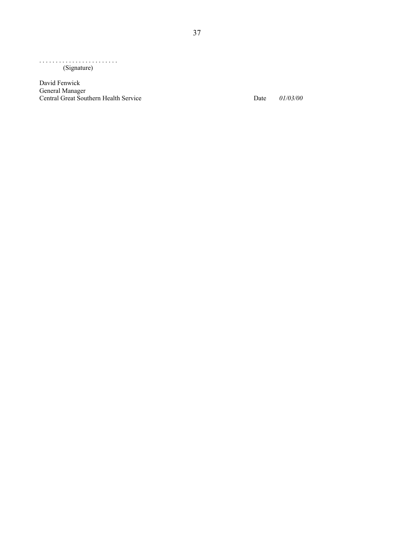. . . . . . . . . . . . . . . . . . . . . . . . (Signature)

David Fenwick General Manager Central Great Southern Health Service Date *01/03/00*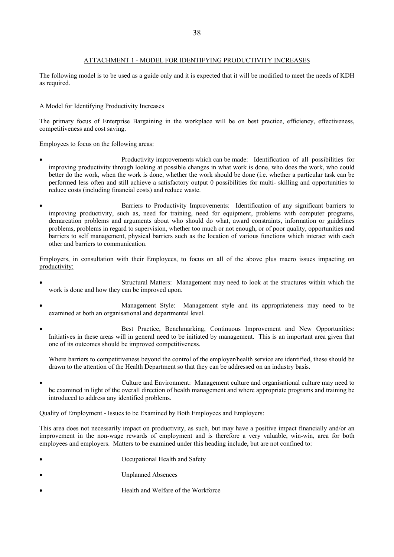## ATTACHMENT 1 - MODEL FOR IDENTIFYING PRODUCTIVITY INCREASES

The following model is to be used as a guide only and it is expected that it will be modified to meet the needs of KDH as required.

## A Model for Identifying Productivity Increases

The primary focus of Enterprise Bargaining in the workplace will be on best practice, efficiency, effectiveness, competitiveness and cost saving.

Employees to focus on the following areas:

- Productivity improvements which can be made: Identification of all possibilities for improving productivity through looking at possible changes in what work is done, who does the work, who could better do the work, when the work is done, whether the work should be done (i.e. whether a particular task can be performed less often and still achieve a satisfactory output 0 possibilities for multi- skilling and opportunities to reduce costs (including financial costs) and reduce waste.
- Barriers to Productivity Improvements: Identification of any significant barriers to improving productivity, such as, need for training, need for equipment, problems with computer programs, demarcation problems and arguments about who should do what, award constraints, information or guidelines problems, problems in regard to supervision, whether too much or not enough, or of poor quality, opportunities and barriers to self management, physical barriers such as the location of various functions which interact with each other and barriers to communication.

Employers, in consultation with their Employees, to focus on all of the above plus macro issues impacting on productivity:

- Structural Matters: Management may need to look at the structures within which the work is done and how they can be improved upon.
- Management Style: Management style and its appropriateness may need to be examined at both an organisational and departmental level.
- Best Practice, Benchmarking, Continuous Improvement and New Opportunities: Initiatives in these areas will in general need to be initiated by management. This is an important area given that one of its outcomes should be improved competitiveness.

Where barriers to competitiveness beyond the control of the employer/health service are identified, these should be drawn to the attention of the Health Department so that they can be addressed on an industry basis.

 Culture and Environment: Management culture and organisational culture may need to be examined in light of the overall direction of health management and where appropriate programs and training be introduced to address any identified problems.

## Quality of Employment - Issues to be Examined by Both Employees and Employers:

This area does not necessarily impact on productivity, as such, but may have a positive impact financially and/or an improvement in the non-wage rewards of employment and is therefore a very valuable, win-win, area for both employees and employers. Matters to be examined under this heading include, but are not confined to:

- Occupational Health and Safety
- Unplanned Absences
- Health and Welfare of the Workforce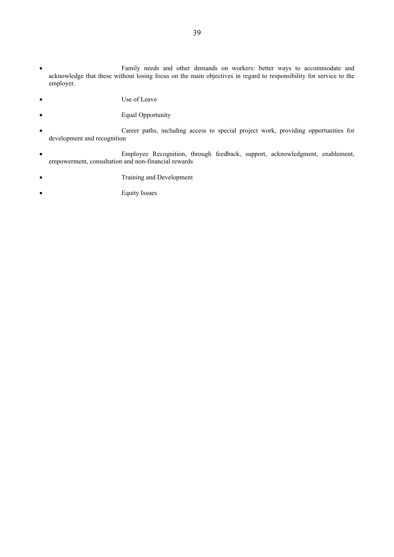- Family needs and other demands on workers: better ways to accommodate and acknowledge that these without losing focus on the main objectives in regard to responsibility for service to the employer.
- Use of Leave
- Equal Opportunity
- Career paths, including access to special project work, providing opportunities for development and recognition
- Employee Recognition, through feedback, support, acknowledgment, enablement, empowerment, consultation and non-financial rewards
- Training and Development
- Equity Issues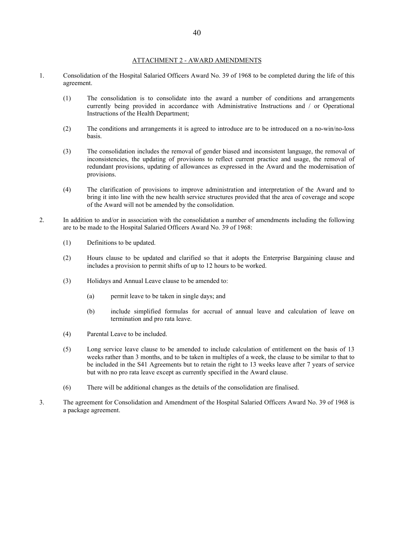#### ATTACHMENT 2 - AWARD AMENDMENTS

- 1. Consolidation of the Hospital Salaried Officers Award No. 39 of 1968 to be completed during the life of this agreement.
	- (1) The consolidation is to consolidate into the award a number of conditions and arrangements currently being provided in accordance with Administrative Instructions and / or Operational Instructions of the Health Department;
	- (2) The conditions and arrangements it is agreed to introduce are to be introduced on a no-win/no-loss basis.
	- (3) The consolidation includes the removal of gender biased and inconsistent language, the removal of inconsistencies, the updating of provisions to reflect current practice and usage, the removal of redundant provisions, updating of allowances as expressed in the Award and the modernisation of provisions.
	- (4) The clarification of provisions to improve administration and interpretation of the Award and to bring it into line with the new health service structures provided that the area of coverage and scope of the Award will not be amended by the consolidation.
- 2. In addition to and/or in association with the consolidation a number of amendments including the following are to be made to the Hospital Salaried Officers Award No. 39 of 1968:
	- (1) Definitions to be updated.
	- (2) Hours clause to be updated and clarified so that it adopts the Enterprise Bargaining clause and includes a provision to permit shifts of up to 12 hours to be worked.
	- (3) Holidays and Annual Leave clause to be amended to:
		- (a) permit leave to be taken in single days; and
		- (b) include simplified formulas for accrual of annual leave and calculation of leave on termination and pro rata leave.
	- (4) Parental Leave to be included.
	- (5) Long service leave clause to be amended to include calculation of entitlement on the basis of 13 weeks rather than 3 months, and to be taken in multiples of a week, the clause to be similar to that to be included in the S41 Agreements but to retain the right to 13 weeks leave after 7 years of service but with no pro rata leave except as currently specified in the Award clause.
	- (6) There will be additional changes as the details of the consolidation are finalised.
- 3. The agreement for Consolidation and Amendment of the Hospital Salaried Officers Award No. 39 of 1968 is a package agreement.